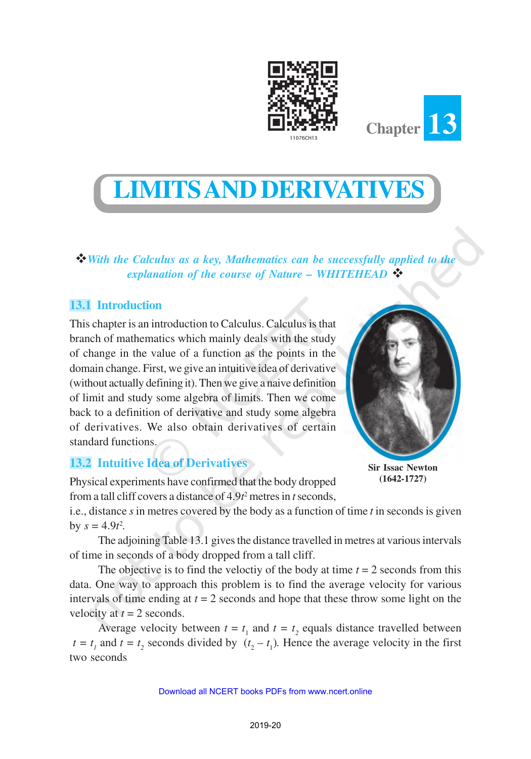

# **LIMITS AND DERIVATIVES**

v*With the Calculus as a key, Mathematics can be successfully applied to the explanation of the course of Nature – WHITEHEAD* ❖

# **13.1 Introduction**

This chapter is an introduction to Calculus. Calculus is that branch of mathematics which mainly deals with the study of change in the value of a function as the points in the domain change. First, we give an intuitive idea of derivative (without actually defining it). Then we give a naive definition of limit and study some algebra of limits. Then we come back to a definition of derivative and study some algebra of derivatives. We also obtain derivatives of certain standard functions.

# **13.2 Intuitive Idea of Derivatives**

Physical experiments have confirmed that the body dropped from a tall cliff covers a distance of 4.9*t* <sup>2</sup> metres in *t* seconds,



**Chapter 13**

**Sir Issac Newton (1642-1727)**

i.e., distance *s* in metres covered by the body as a function of time *t* in seconds is given by  $s = 4.9t^2$ .

The adjoining Table 13.1 gives the distance travelled in metres at various intervals of time in seconds of a body dropped from a tall cliff.

The objective is to find the veloctiv of the body at time  $t = 2$  seconds from this data. One way to approach this problem is to find the average velocity for various intervals of time ending at  $t = 2$  seconds and hope that these throw some light on the velocity at  $t = 2$  seconds.

Average velocity between  $t = t_1$  and  $t = t_2$  equals distance travelled between  $t = t_1$  and  $t = t_2$  seconds divided by  $(t_2 - t_1)$ . Hence the average velocity in the first two seconds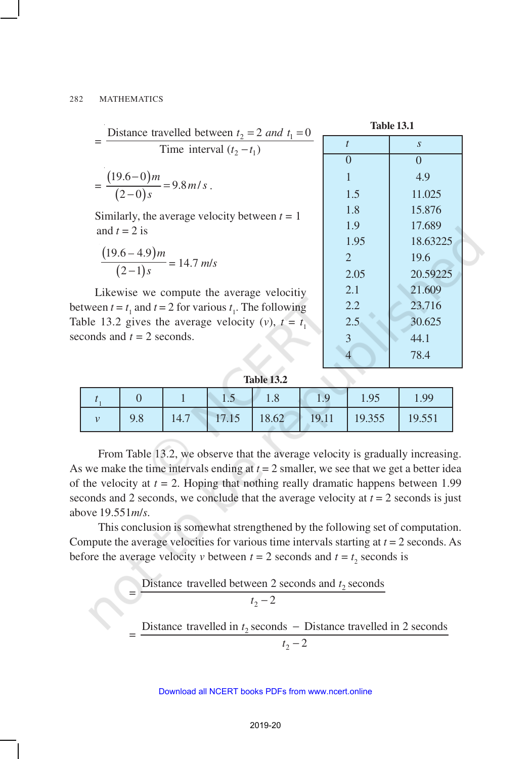=  $\frac{2}{2}$  -  $\frac{2}{2}$  und  $\frac{1}{2}$  $2 - i_1$ Distance travelled between  $t_2 = 2$  and  $t_1 = 0$ Time interval  $(t_2 - t_1)$  $t_2 = 2$  and t  $t_2 - t$  $= 2$  and  $t_1 =$ − =  $(19.6-0)$  $(2-0)$  $19.6 - 0$  $9.8 m/$  $2 - 0$ *m m s s* − =  $\frac{f}{-0} = 9.8 m/s$ . Similarly, the average velocity between  $t = 1$ and  $t = 2$  is  $(19.6 - 4.9)$  $(2-1)$  $19.6 - 4.9$  $2 - 1$ *m*  $\frac{1}{-1}$ s = 14.7 *m/s* 

Likewise we compute the average velocitiy between  $t = t_1$  and  $t = 2$  for various  $t_1$ . The following Table 13.2 gives the average velocity (*v*),  $t = t_1$ seconds and  $t = 2$  seconds.

=

=

**Table 13.1**

| $\mathfrak{t}$ | $\boldsymbol{S}$ |
|----------------|------------------|
| $\overline{0}$ | $\overline{0}$   |
| $\mathbf{1}$   | 4.9              |
| 1.5            | 11.025           |
| 1.8            | 15.876           |
| 1.9            | 17.689           |
| 1.95           | 18.63225         |
| 2              | 19.6             |
| 2.05           | 20.59225         |
| 2.1            | 21.609           |
| 2.2            | 23.716           |
| 2.5            | 30.625           |
| 3              | 44.1             |
| 4              | 78.4             |

| <b>Table 13.2</b> |  |
|-------------------|--|
|-------------------|--|

|  | $\Box$ |  | 1.95                                  | 1.99   |
|--|--------|--|---------------------------------------|--------|
|  |        |  | 14.7   17.15   18.62   19.11   19.355 | 19.551 |

From Table 13.2, we observe that the average velocity is gradually increasing. As we make the time intervals ending at  $t = 2$  smaller, we see that we get a better idea of the velocity at  $t = 2$ . Hoping that nothing really dramatic happens between 1.99 seconds and 2 seconds, we conclude that the average velocity at  $t = 2$  seconds is just above 19.551*m*/*s*.

This conclusion is somewhat strengthened by the following set of computation. Compute the average velocities for various time intervals starting at *t* = 2 seconds. As before the average velocity *v* between  $t = 2$  seconds and  $t = t_2$  seconds is

# Distance travelled between 2 seconds and  $t_2$  seconds

$$
t_2-2
$$

Distance travelled in  $t_2$  seconds – Distance travelled in 2 seconds

$$
t_2-2
$$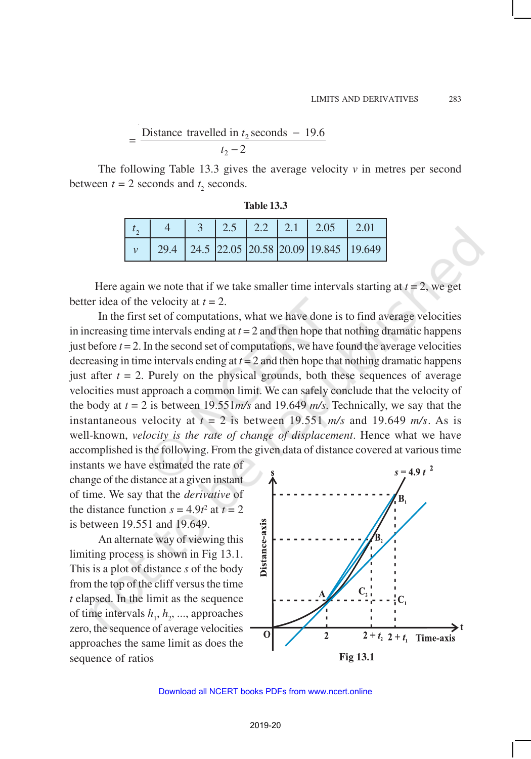#### = Distance travelled in  $t_2$  seconds - 19.6  $t_2 - 2$

The following Table 13.3 gives the average velocity  $\nu$  in metres per second between  $t = 2$  seconds and  $t_2$  seconds.

| Table 13. |  |
|-----------|--|
|-----------|--|

|  |  |  | 2.5   2.2   2.1   2.05   2.01                         |  |
|--|--|--|-------------------------------------------------------|--|
|  |  |  | 29.4   24.5   22.05   20.58   20.09   19.845   19.649 |  |

Here again we note that if we take smaller time intervals starting at  $t = 2$ , we get better idea of the velocity at  $t = 2$ .

In the first set of computations, what we have done is to find average velocities in increasing time intervals ending at  $t = 2$  and then hope that nothing dramatic happens just before  $t = 2$ . In the second set of computations, we have found the average velocities decreasing in time intervals ending at  $t = 2$  and then hope that nothing dramatic happens just after  $t = 2$ . Purely on the physical grounds, both these sequences of average velocities must approach a common limit. We can safely conclude that the velocity of the body at  $t = 2$  is between 19.551*m/s* and 19.649 *m/s*. Technically, we say that the instantaneous velocity at  $t = 2$  is between 19.551  $m/s$  and 19.649  $m/s$ . As is well-known, *velocity is the rate of change of displacement*. Hence what we have accomplished is the following. From the given data of distance covered at various time

instants we have estimated the rate of change of the distance at a given instant of time. We say that the *derivative* of the distance function  $s = 4.9t^2$  at  $t = 2$ is between 19.551 and 19.649.

An alternate way of viewing this limiting process is shown in Fig 13.1. This is a plot of distance *s* of the body from the top of the cliff versus the time *t* elapsed. In the limit as the sequence of time intervals  $h_1, h_2, \dots$ , approaches zero, the sequence of average velocities approaches the same limit as does the sequence of ratios **Fig 13.1** 

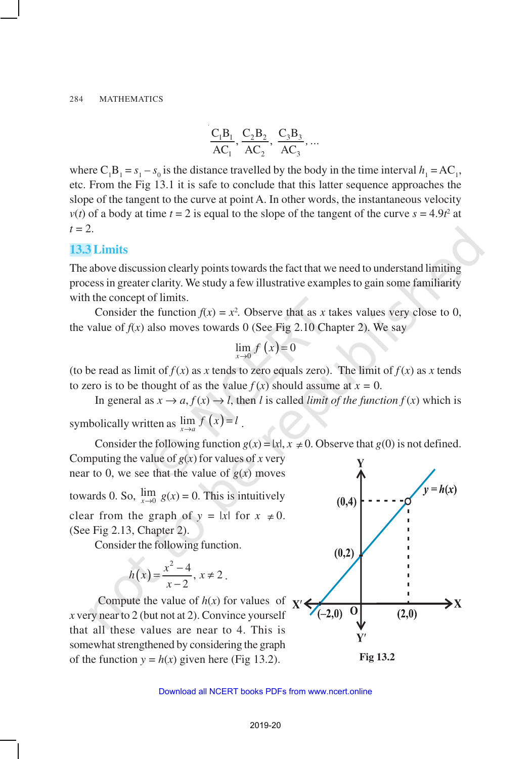$$
\frac{C_1B_1}{AC_1}, \frac{C_2B_2}{AC_2}, \frac{C_3B_3}{AC_3}, ...
$$

where  $C_1B_1 = s_1 - s_0$  is the distance travelled by the body in the time interval  $h_1 = AC_1$ , etc. From the Fig 13.1 it is safe to conclude that this latter sequence approaches the slope of the tangent to the curve at point A. In other words, the instantaneous velocity  $v(t)$  of a body at time  $t = 2$  is equal to the slope of the tangent of the curve  $s = 4.9t^2$  at  $t = 2$ .

# **13.3 Limits**

The above discussion clearly points towards the fact that we need to understand limiting process in greater clarity. We study a few illustrative examples to gain some familiarity with the concept of limits.

Consider the function  $f(x) = x^2$ . Observe that as *x* takes values very close to 0, the value of  $f(x)$  also moves towards 0 (See Fig 2.10 Chapter 2). We say

$$
\lim_{x \to 0} f\left(x\right) = 0
$$

(to be read as limit of  $f(x)$  as *x* tends to zero equals zero). The limit of  $f(x)$  as *x* tends to zero is to be thought of as the value  $f(x)$  should assume at  $x = 0$ .

In general as  $x \to a$ ,  $f(x) \to l$ , then *l* is called *limit of the function*  $f(x)$  which is symbolically written as  $\lim_{x \to a} f(x) = l$ .

Consider the following function  $g(x) = |x|, x \neq 0$ . Observe that  $g(0)$  is not defined. Computing the value of  $g(x)$  for values of *x* very near to 0, we see that the value of  $g(x)$  moves towards 0. So,  $\lim_{x\to 0} g(x) = 0$ . This is intuitively  $(0,4)$ clear from the graph of  $y = |x|$  for  $x \neq 0$ . (See Fig 2.13, Chapter 2).

Consider the following function.

$$
h(x) = \frac{x^2 - 4}{x - 2}, \, x \neq 2 \, .
$$

Compute the value of  $h(x)$  for values of *x* very near to 2 (but not at 2). Convince yourself that all these values are near to 4. This is somewhat strengthened by considering the graph of the function  $y = h(x)$  given here (Fig 13.2). **Fig 13.2** 

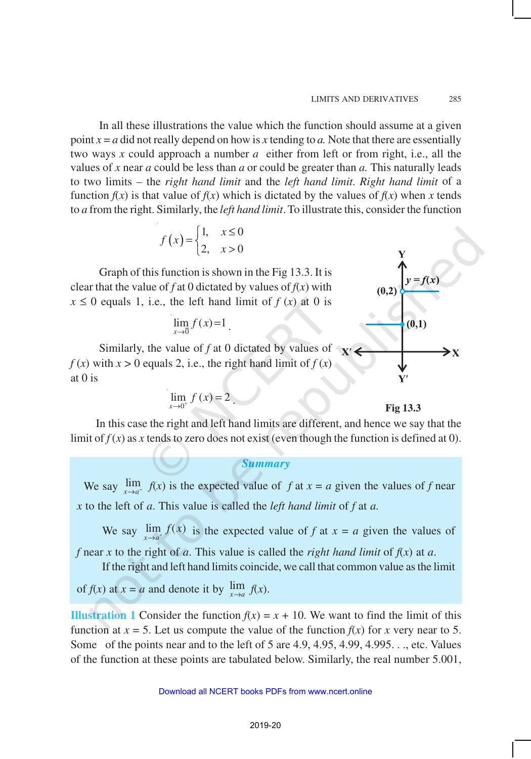In all these illustrations the value which the function should assume at a given point  $x = a$  did not really depend on how is x tending to a. Note that there are essentially two ways *x* could approach a number *a* either from left or from right, i.e., all the values of *x* near *a* could be less than *a* or could be greater than *a.* This naturally leads to two limits – the *right hand limit* and the *left hand limit*. *Right hand limit* of a function  $f(x)$  is that value of  $f(x)$  which is dictated by the values of  $f(x)$  when x tends to *a* from the right. Similarly, the *left hand limit*. To illustrate this, consider the function

$$
f(x) = \begin{cases} 1, & x \le 0 \\ 2, & x > 0 \end{cases}
$$

Graph of this function is shown in the Fig 13.3. It is clear that the value of  $f$  at 0 dictated by values of  $f(x)$  with  $x \le 0$  equals 1, i.e., the left hand limit of  $f(x)$  at 0 is

$$
\lim_{x \to 0} f(x) = 1
$$

Similarly, the value of *f* at 0 dictated by values of  $x'$  $f(x)$  with  $x > 0$  equals 2, i.e., the right hand limit of  $f(x)$ at 0 is

$$
\lim_{x\to 0^+} f(x) = 2.
$$

# $y = f(x)$  $(0.1)$ > x

**Fig 13.3**

In this case the right and left hand limits are different, and hence we say that the limit of  $f(x)$  as x tends to zero does not exist (even though the function is defined at 0).

## *Summary*

We say  $\lim_{x\to a^{-}} f(x)$  is the expected value of *f* at  $x = a$  given the values of *f* near *x* to the left of *a*. This value is called the *left hand limit* of *f* at *a*.

We say  $\lim_{x \to a^+} f(x)$  is the expected value of *f* at  $x = a$  given the values of

*f* near *x* to the right of *a*. This value is called the *right hand limit* of  $f(x)$  at *a*. If the right and left hand limits coincide, we call that common value as the limit

of  $f(x)$  at  $x = a$  and denote it by  $\lim_{x \to a} f(x)$ .

**Illustration 1** Consider the function  $f(x) = x + 10$ . We want to find the limit of this function at  $x = 5$ . Let us compute the value of the function  $f(x)$  for  $x$  very near to 5. Some of the points near and to the left of 5 are 4.9, 4.95, 4.99, 4.995. . ., etc. Values of the function at these points are tabulated below. Similarly, the real number 5.001,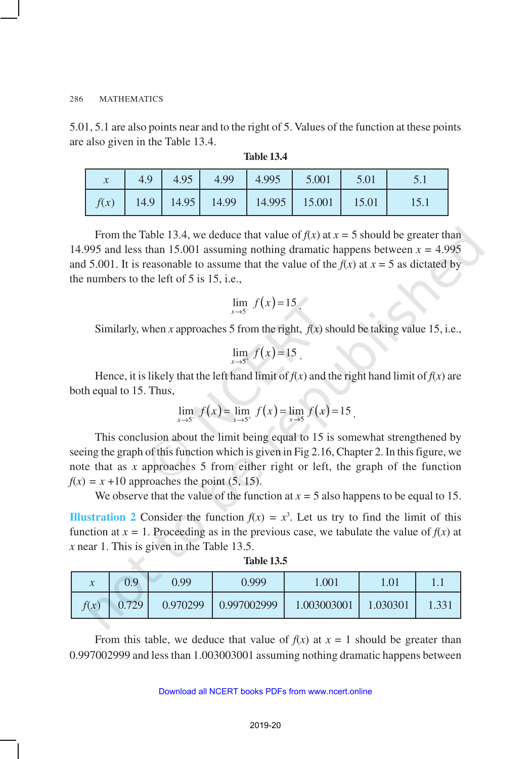5.01, 5.1 are also points near and to the right of 5. Values of the function at these points are also given in the Table 13.4.

|  |  | 4.9 $\begin{array}{ c c c c c c c c c } \hline 4.95 & 4.99 & 4.995 & 5.001 & 5.01 \hline \end{array}$ |  |
|--|--|-------------------------------------------------------------------------------------------------------|--|
|  |  | $f(x)$   14.9   14.95   14.99   14.995   15.001   15.01                                               |  |

| Table 13.4 |  |
|------------|--|
|------------|--|

From the Table 13.4, we deduce that value of  $f(x)$  at  $x = 5$  should be greater than 14.995 and less than 15.001 assuming nothing dramatic happens between  $x = 4.995$ and 5.001. It is reasonable to assume that the value of the  $f(x)$  at  $x = 5$  as dictated by the numbers to the left of 5 is 15, i.e.,

$$
\lim_{x \to 5^-} f(x) = 15
$$

Similarly, when *x* approaches 5 from the right,  $f(x)$  should be taking value 15, i.e.,

$$
\lim_{x \to 5^+} f(x) = 15
$$

Hence, it is likely that the left hand limit of  $f(x)$  and the right hand limit of  $f(x)$  are both equal to 15. Thus,

$$
\lim_{x \to 5^-} f(x) = \lim_{x \to 5^+} f(x) = \lim_{x \to 5} f(x) = 15.
$$

This conclusion about the limit being equal to 15 is somewhat strengthened by seeing the graph of this function which is given in Fig 2.16, Chapter 2. In this figure, we note that as *x* approaches 5 from either right or left, the graph of the function  $f(x) = x + 10$  approaches the point (5, 15).

We observe that the value of the function at  $x = 5$  also happens to be equal to 15.

**Illustration 2** Consider the function  $f(x) = x^3$ . Let us try to find the limit of this function at  $x = 1$ . Proceeding as in the previous case, we tabulate the value of  $f(x)$  at *x* near 1. This is given in the Table 13.5.

| $\mathcal{X}$ | 0.9   | 0.99     | 0.999              | .001        | $\cdot$ .01 |      |
|---------------|-------|----------|--------------------|-------------|-------------|------|
| f(x)          | 0.729 | 0.970299 | $\mid$ 0.997002999 | 1.003003001 | 1.030301    | .331 |

**Table 13.5**

From this table, we deduce that value of  $f(x)$  at  $x = 1$  should be greater than 0.997002999 and less than 1.003003001 assuming nothing dramatic happens between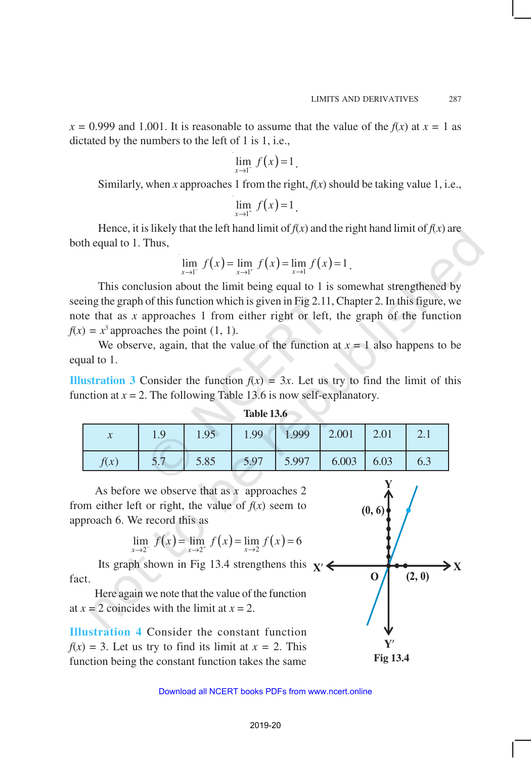$x = 0.999$  and 1.001. It is reasonable to assume that the value of the  $f(x)$  at  $x = 1$  as dictated by the numbers to the left of 1 is 1, i.e.,

$$
\lim_{x\to 1^-} f(x)=1.
$$

Similarly, when *x* approaches 1 from the right,  $f(x)$  should be taking value 1, i.e.,

$$
\lim_{x\to 1^+} f(x) = 1.
$$

Hence, it is likely that the left hand limit of  $f(x)$  and the right hand limit of  $f(x)$  are both equal to 1. Thus,

$$
\lim_{x \to 1^{-}} f(x) = \lim_{x \to 1^{+}} f(x) = \lim_{x \to 1} f(x) = 1.
$$

This conclusion about the limit being equal to 1 is somewhat strengthened by seeing the graph of this function which is given in Fig 2.11, Chapter 2. In this figure, we note that as *x* approaches 1 from either right or left, the graph of the function  $f(x) = x^3$  approaches the point (1, 1).

We observe, again, that the value of the function at  $x = 1$  also happens to be equal to 1.

**Illustration 3** Consider the function  $f(x) = 3x$ . Let us try to find the limit of this function at  $x = 2$ . The following Table 13.6 is now self-explanatory.

| $\lambda$ | 1.9 | 1.95 | 1.99 | 1.999 | 2.001 | 2.01 | 2.1 |
|-----------|-----|------|------|-------|-------|------|-----|
| f(x)      | 5.7 | 5.85 | 5.97 | 5.997 | 6.003 | 6.03 | 6.3 |

**Table 13.6**

As before we observe that as *x* approaches 2 from either left or right, the value of  $f(x)$  seem to approach 6. We record this as

$$
\lim_{x \to 2^{-}} f(x) = \lim_{x \to 2^{+}} f(x) = \lim_{x \to 2} f(x) = 6
$$

Its graph shown in Fig 13.4 strengthens this  $\mathbf{x}'$ fact.

Here again we note that the value of the function at  $x = 2$  coincides with the limit at  $x = 2$ .

**Illustration 4** Consider the constant function  $f(x) = 3$ . Let us try to find its limit at  $x = 2$ . This function being the constant function takes the same **Fig 13.4**

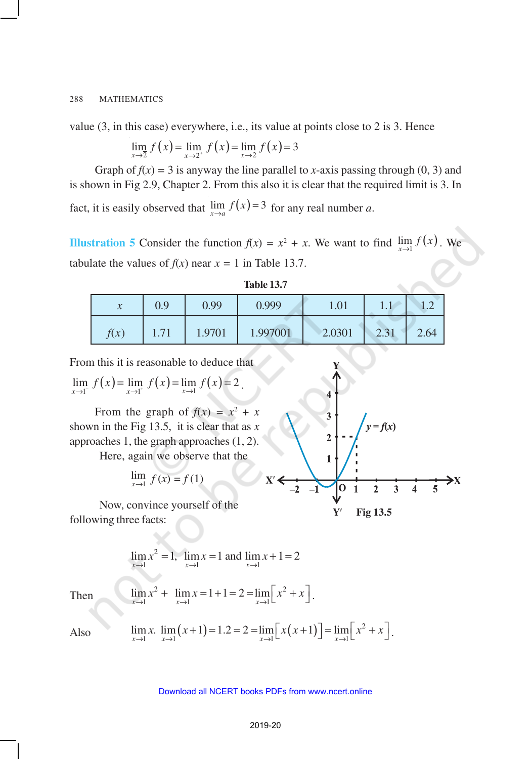value (3, in this case) everywhere, i.e., its value at points close to 2 is 3. Hence

$$
\lim_{x \to 2^{-}} f(x) = \lim_{x \to 2^{+}} f(x) = \lim_{x \to 2} f(x) = 3
$$

Graph of  $f(x) = 3$  is anyway the line parallel to *x*-axis passing through (0, 3) and is shown in Fig 2.9, Chapter 2. From this also it is clear that the required limit is 3. In fact, it is easily observed that  $\lim_{x\to a} f(x) = 3$  for any real number *a*.

**Illustration 5** Consider the function  $f(x) = x^2 + x$ . We want to find  $\lim_{x\to 1} f(x)$ . We tabulate the values of  $f(x)$  near  $x = 1$  in Table 13.7.

| Table 13. |  |
|-----------|--|
|-----------|--|

| $\boldsymbol{\chi}$ | 0.9  | 0.99   | 0.999    | 1.01   | 1.1                          |      |
|---------------------|------|--------|----------|--------|------------------------------|------|
| f(x)                | 1.71 | 1.9701 | 1.997001 | 2.0301 | 231<br>$\angle$ . $\angle$ 1 | 2.64 |

From this it is reasonable to deduce that

$$
\lim_{x \to 1^{-}} f(x) = \lim_{x \to 1^{+}} f(x) = \lim_{x \to 1} f(x) = 2.
$$

From the graph of  $f(x) = x^2 + x$ shown in the Fig 13.5, it is clear that as *x* approaches 1, the graph approaches (1, 2).

Here, again we observe that the

$$
\lim_{x \to 1} f(x) = f(1)
$$

Now, convince yourself of the following three facts:

$$
\lim_{x \to 1} x^2 = 1, \ \lim_{x \to 1} x = 1 \text{ and } \lim_{x \to 1} x + 1 = 2
$$

Then 
$$
\lim_{x \to 1} x^2 + \lim_{x \to 1} x = 1 + 1 = 2 = \lim_{x \to 1} \left[ x^2 + x \right].
$$

Also  $\lim_{x\to 1} x$ .  $\lim_{x\to 1} (x+1) = 1.2 = 2 = \lim_{x\to 1} [x(x+1)] = \lim_{x\to 1} [x^2 + x]$ .



 $\overline{\mathbf{3}}$ 

 $\overline{2}$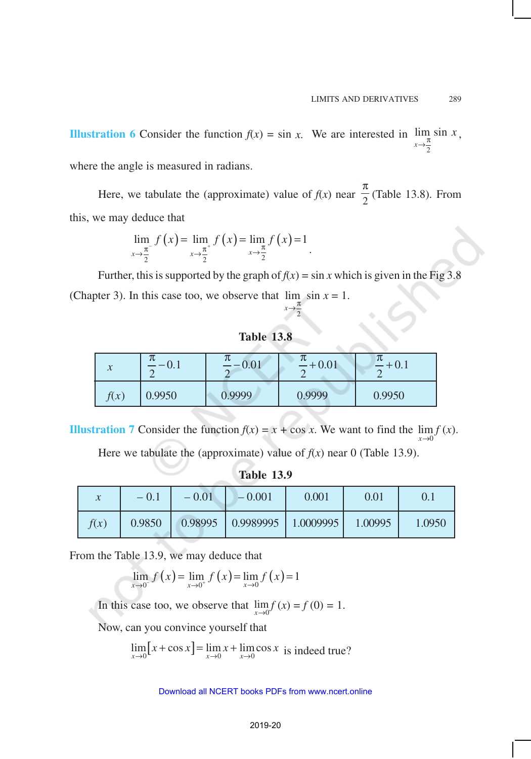**Illustration 6** Consider the function  $f(x) = \sin x$ . We are interested in 2 lim sin *x x*  $\lim_{x \to \frac{\pi}{2}} \sin x$ ,

where the angle is measured in radians.

Here, we tabulate the (approximate) value of  $f(x)$  near  $\frac{1}{2}$ π (Table 13.8)*.* From this, we may deduce that

$$
\lim_{x \to \frac{\pi}{2}} f(x) = \lim_{x \to \frac{\pi}{2}^{+}} f(x) = \lim_{x \to \frac{\pi}{2}} f(x) = 1
$$

Further, this is supported by the graph of  $f(x) = \sin x$  which is given in the Fig 3.8 (Chapter 3). In this case too, we observe that  $\lim_{x \to 1} \sin x = 1$ . *x*  $\rightarrow \frac{\pi}{4}$ 

.

2

# **Table 13.8**

| $\mathbf{v}$ | π      | りし     | JL      | π      |
|--------------|--------|--------|---------|--------|
| $\lambda$    | ∪.⊥    | 0.01   | $+0.01$ |        |
| f(x)         | 0.9950 | 0.9999 | 0.9999  | 0.9950 |

**Illustration** 7 Consider the function  $f(x) = x + \cos x$ . We want to find the  $\lim f(x)$ .  $\mathbf{0}$ *x*→

Here we tabulate the (approximate) value of  $f(x)$  near 0 (Table 13.9).

**Table 13.9**

| $\mathcal{X}$ | $-0.1$ | $-0.01$ | $-0.001$                          | 0.001 | 0.01    |        |
|---------------|--------|---------|-----------------------------------|-------|---------|--------|
| f(x)          | 0.9850 |         | $0.98995$   0.9989995   1.0009995 |       | 1.00995 | 1.0950 |

From the Table 13.9, we may deduce that

$$
\lim_{x \to 0^{-}} f(x) = \lim_{x \to 0^{+}} f(x) = \lim_{x \to 0} f(x) = 1
$$

In this case too, we observe that  $\lim_{x\to 0} f(x) = f(0) = 1$ .

Now, can you convince yourself that

$$
\lim_{x \to 0} [x + \cos x] = \lim_{x \to 0} x + \lim_{x \to 0} \cos x
$$
 is indeed true?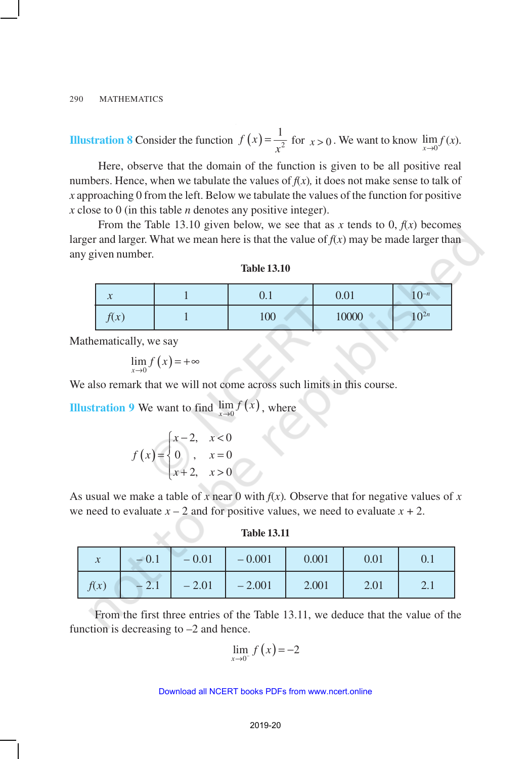**Illustration 8** Consider the function  $f(x) = \frac{1}{x^2}$  $=\frac{1}{x^2}$  for  $x > 0$ . We want to know  $\lim_{x \to 0} f(x)$ .

Here, observe that the domain of the function is given to be all positive real numbers. Hence, when we tabulate the values of  $f(x)$ , it does not make sense to talk of *x* approaching 0 from the left. Below we tabulate the values of the function for positive *x* close to 0 (in this table *n* denotes any positive integer).

From the Table 13.10 given below, we see that as x tends to 0,  $f(x)$  becomes larger and larger. What we mean here is that the value of  $f(x)$  may be made larger than any given number.

| $\mathcal{P}$<br>$\boldsymbol{\mathcal{N}}$ | v. 1 | 0.01  | $1 \bigcap -n$<br>1 <sub>U</sub> |
|---------------------------------------------|------|-------|----------------------------------|
| f(x)                                        | 100  | 10000 | $10^{2n}$                        |

Mathematically, we say

$$
\lim_{x \to 0} f(x) = +\infty
$$

We also remark that we will not come across such limits in this course.

**Illustration 9** We want to find  $\lim_{x\to 0} f(x)$ , where

$$
f(x) = \begin{cases} x-2, & x < 0 \\ 0, & x = 0 \\ x+2, & x > 0 \end{cases}
$$

As usual we make a table of x near 0 with  $f(x)$ . Observe that for negative values of x we need to evaluate  $x - 2$  and for positive values, we need to evaluate  $x + 2$ .

#### **Table 13.11**

| $\mathcal{X}$ | $-0.1$  | $-0.01$ | $-0.001$ | 0.001 | 0.01 | V. I      |
|---------------|---------|---------|----------|-------|------|-----------|
| f(x)          | $-$ 4.1 | $-2.01$ | $-2.001$ | 2.001 | 2.01 | $\sim$ .1 |

From the first three entries of the Table 13.11, we deduce that the value of the function is decreasing to –2 and hence.

$$
\lim_{x \to 0^-} f(x) = -2
$$

| <b>Table 13.10</b> |  |
|--------------------|--|
|--------------------|--|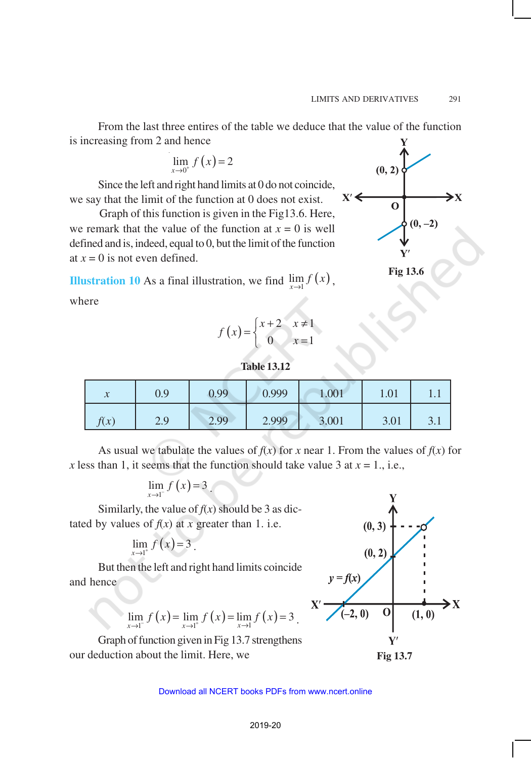From the last three entires of the table we deduce that the value of the function is increasing from 2 and hence

$$
\lim_{x \to 0^+} f\left(x\right) = 2
$$

Since the left and right hand limits at 0 do not coincide, we say that the limit of the function at 0 does not exist.

 Graph of this function is given in the Fig13.6. Here, we remark that the value of the function at  $x = 0$  is well defined and is, indeed, equal to 0, but the limit of the function at  $x = 0$  is not even defined.

**Illustration 10** As a final illustration, we find  $\lim_{x\to 1} f(x)$ ,

where

$$
f(x) = \begin{cases} x+2 & x \neq 1 \\ 0 & x = 1 \end{cases}
$$



| $\boldsymbol{\chi}$ | 0.9 | 0.99 | 0.999 | 1.001 | 1.01 | 1.1        |
|---------------------|-----|------|-------|-------|------|------------|
| f(x)                | 2.9 | 2.99 | 2.999 | 3.001 | 3.01 | $\cup$ . 1 |

As usual we tabulate the values of  $f(x)$  for *x* near 1. From the values of  $f(x)$  for *x* less than 1, it seems that the function should take value 3 at  $x = 1$ ., i.e.,

$$
\lim_{x\to 1^-} f\left(x\right) = 3
$$

Similarly, the value of  $f(x)$  should be 3 as dictated by values of  $f(x)$  at *x* greater than 1. i.e.

$$
\lim_{x\to 1^+} f(x) = 3.
$$

But then the left and right hand limits coincide and hence

$$
\lim_{x \to 1^{-}} f(x) = \lim_{x \to 1^{+}} f(x) = \lim_{x \to 1} f(x) = 3.
$$

Graph of function given in Fig 13.7 strengthens our deduction about the limit. Here, we



**Fig 13.7**



 $(0, 2)$  $X'$  $\Omega$  $(0, -2)$ 

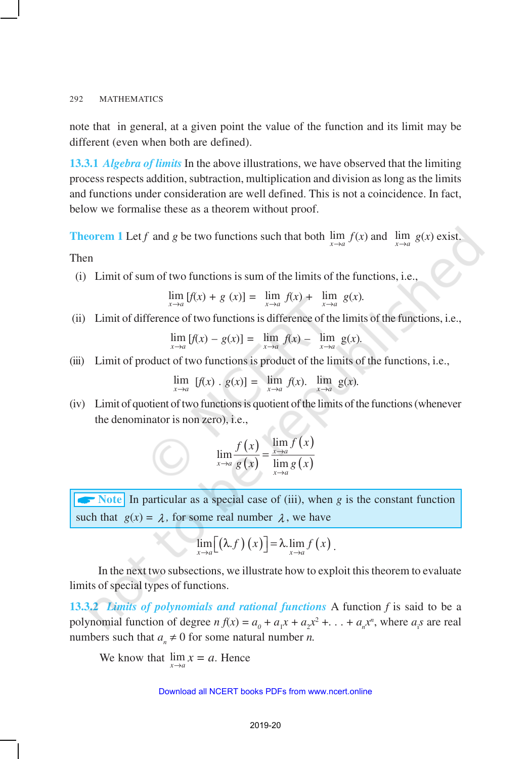note that in general, at a given point the value of the function and its limit may be different (even when both are defined).

**13.3.1** *Algebra of limits* In the above illustrations, we have observed that the limiting process respects addition, subtraction, multiplication and division as long as the limits and functions under consideration are well defined. This is not a coincidence. In fact, below we formalise these as a theorem without proof.

**Theorem 1** Let *f* and *g* be two functions such that both  $\lim_{x\to a} f(x)$  and  $\lim_{x\to a} g(x)$  exist.

Then

(i) Limit of sum of two functions is sum of the limits of the functions, i.e.,

$$
\lim_{x \to a} [f(x) + g(x)] = \lim_{x \to a} f(x) + \lim_{x \to a} g(x).
$$

(ii) Limit of difference of two functions is difference of the limits of the functions, i.e.,

$$
\lim_{x \to a} [f(x) - g(x)] = \lim_{x \to a} f(x) - \lim_{x \to a} g(x).
$$

(iii) Limit of product of two functions is product of the limits of the functions, i.e.,

$$
\lim_{x \to a} [f(x) \cdot g(x)] = \lim_{x \to a} f(x). \lim_{x \to a} g(x).
$$

(iv) Limit of quotient of two functions is quotient of the limits of the functions (whenever the denominator is non zero), i.e.,

$$
\lim_{x \to a} \frac{f(x)}{g(x)} = \frac{\lim_{x \to a} f(x)}{\lim_{x \to a} g(x)}
$$

A**Note** In particular as a special case of (iii), when *g* is the constant function such that  $g(x) = \lambda$ , for some real number  $\lambda$ , we have

$$
\lim_{x\to a}[(\lambda.f)(x)]=\lambda.\lim_{x\to a}f(x).
$$

In the next two subsections, we illustrate how to exploit this theorem to evaluate limits of special types of functions.

**13.3.2** *Limits of polynomials and rational functions* A function *f* is said to be a polynomial function of degree  $n f(x) = a_0 + a_1 x + a_2 x^2 + \ldots + a_n x^n$ , where  $a_i s$  are real numbers such that  $a_n \neq 0$  for some natural number *n*.

We know that  $\lim_{x \to a} x = a$ . Hence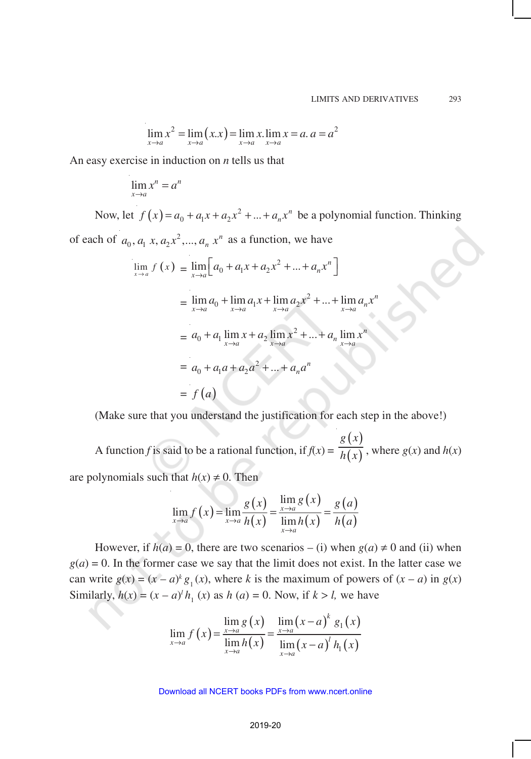$$
\lim_{x \to a} x^2 = \lim_{x \to a} (x.x) = \lim_{x \to a} x \cdot \lim_{x \to a} x = a. a = a^2
$$

An easy exercise in induction on *n* tells us that

$$
\lim_{x \to a} x^n = a^n
$$

Now, let  $f(x) = a_0 + a_1 x + a_2 x^2 + ... + a_n x^n$  be a polynomial function. Thinking of each of  $a_0, a_1, x, a_2, x^2, \dots, a_n, x^n$  as a function, we have

$$
\lim_{x \to a} f(x) = \lim_{x \to a} \left[ a_0 + a_1 x + a_2 x^2 + \dots + a_n x^n \right]
$$
  
= 
$$
\lim_{x \to a} a_0 + \lim_{x \to a} a_1 x + \lim_{x \to a} a_2 x^2 + \dots + \lim_{x \to a} a_n x^n
$$
  
= 
$$
a_0 + a_1 \lim_{x \to a} x + a_2 \lim_{x \to a} x^2 + \dots + a_n \lim_{x \to a} x^n
$$
  
= 
$$
a_0 + a_1 a + a_2 a^2 + \dots + a_n a^n
$$
  
= 
$$
f(a)
$$

(Make sure that you understand the justification for each step in the above!)

A function *f* is said to be a rational function, if  $f(x) =$  $(x)$  $\overline{(x)}$ *g x*  $\overline{h(x)}$ , where  $g(x)$  and  $h(x)$ are polynomials such that  $h(x) \neq 0$ . Then

$$
\lim_{x \to a} f(x) = \lim_{x \to a} \frac{g(x)}{h(x)} = \frac{\lim_{x \to a} g(x)}{\lim_{x \to a} h(x)} = \frac{g(a)}{h(a)}
$$

However, if  $h(a) = 0$ , there are two scenarios – (i) when  $g(a) \neq 0$  and (ii) when  $g(a) = 0$ . In the former case we say that the limit does not exist. In the latter case we can write  $g(x) = (x - a)^k g_1(x)$ , where *k* is the maximum of powers of  $(x - a)$  in  $g(x)$ Similarly,  $h(x) = (x - a)^l h_1(x)$  as  $h(a) = 0$ . Now, if  $k > l$ , we have

$$
\lim_{x \to a} f(x) = \frac{\lim_{x \to a} g(x)}{\lim_{x \to a} h(x)} = \frac{\lim_{x \to a} (x - a)^{k} g_{1}(x)}{\lim_{x \to a} (x - a)^{l} h_{1}(x)}
$$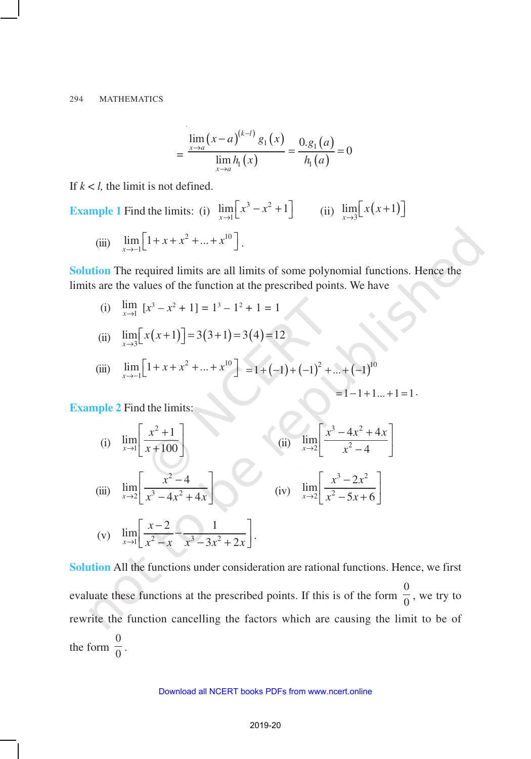$$
= \frac{\lim_{x \to a} (x-a)^{(k-l)} g_1(x)}{\lim_{x \to a} h_1(x)} = \frac{0.g_1(a)}{h_1(a)} = 0
$$

If  $k < l$ , the limit is not defined.

**Example 1** Find the limits: (i) 
$$
\lim_{x \to 1} \left[ x^3 - x^2 + 1 \right]
$$
 (ii)  $\lim_{x \to 3} \left[ x(x+1) \right]$ 

(iii) 
$$
\lim_{x \to -1} \left[ 1 + x + x^2 + \dots + x^{10} \right].
$$

**Solution** The required limits are all limits of some polynomial functions. Hence the limits are the values of the function at the prescribed points. We have

(i) 
$$
\lim_{x \to 1} [x^3 - x^2 + 1] = 1^3 - 1^2 + 1 = 1
$$

(ii) 
$$
\lim_{x \to 3} \left[ x(x+1) \right] = 3(3+1) = 3(4) = 12
$$

(iii) 
$$
\lim_{x \to -1} \left[ 1 + x + x^2 + \dots + x^{10} \right] = 1 + (-1) + (-1)^2 + \dots + (-1)^{10}
$$

$$
=1-1+1...+1=1
$$

**Example 2** Find the limits:

(i) 
$$
\lim_{x \to 1} \left[ \frac{x^2 + 1}{x + 100} \right]
$$
  
\n(ii) 
$$
\lim_{x \to 2} \left[ \frac{x^3 - 4x^2 + 4x}{x^2 - 4} \right]
$$
  
\n(iii) 
$$
\lim_{x \to 2} \left[ \frac{x^2 - 4}{x^3 - 4x^2 + 4x} \right]
$$
  
\n(iv) 
$$
\lim_{x \to 2} \left[ \frac{x^3 - 2x^2}{x^2 - 5x + 6} \right]
$$
  
\n(v) 
$$
\lim_{x \to 1} \left[ \frac{x - 2}{x^2 - x} - \frac{1}{x^3 - 3x^2 + 2x} \right].
$$

 $\lim_{x\to 1} \left[ \frac{x^2}{x^2 - x} - \frac{1}{x^3 - 3x^2 + 2x} \right].$ **Solution** All the functions under consideration are rational functions. Hence, we first evaluate these functions at the prescribed points. If this is of the form  $\frac{0}{0}$  $\frac{1}{0}$ , we try to rewrite the function cancelling the factors which are causing the limit to be of the form  $\frac{0}{0}$  $\frac{1}{0}$ .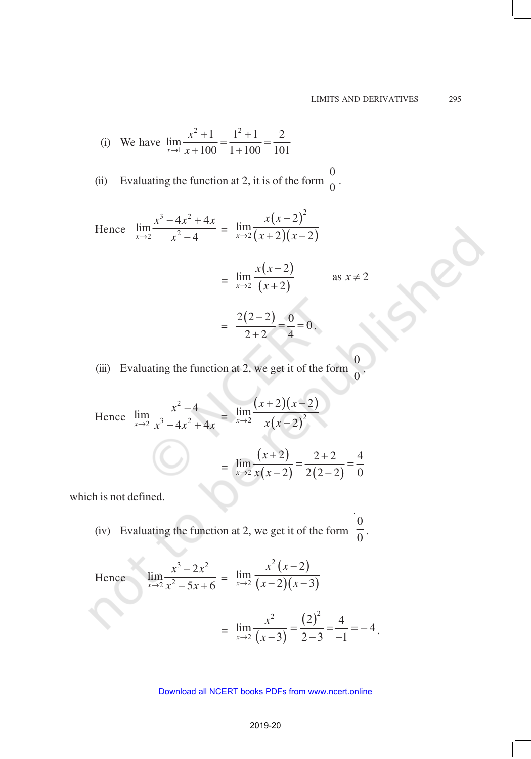.

.

(i) We have 
$$
\lim_{x \to 1} \frac{x^2 + 1}{x + 100} = \frac{1^2 + 1}{1 + 100} = \frac{2}{101}
$$

(ii) Evaluating the function at 2, it is of the form  $\frac{0}{0}$  $\frac{1}{0}$ .

Hence  $3 \sqrt{1-x^2}$  $\lim_{x\to 2} \frac{x^3 - 4x^2 + 4}{x^2 - 4}$  $x \rightarrow 2$   $x^2 - 4$  $x^3 - 4x^2 + 4x$  $\rightarrow$ 2 *x*  $-4x^2 +$  $\frac{1}{-4}$  =  $(x-2)^{y}$  $(x+2)(x-2)$ 2 2 2 lim  $\lim_{x\to 2} (x+2)(x-2)$ *x x*  $\rightarrow$  2  $(x+2)(x)$ −  $+ 2(x -$ =  $(x-2)$  $\frac{1}{2}$   $(x+2)$ 2  $\lim \frac{n(x-1)}{2}$  as  $x \neq 2$  $\lim_{x\to 2} (x+2)$ *x x x*  $\rightarrow$ 2  $(x$ − ≠ +  $=\frac{2(2-2)}{2} = \frac{0}{4} = 0$  $2 + 2$  4 −  $= -\frac{6}{1}$  $\frac{1}{+2} = \frac{8}{4} = 0$ .

(iii) Evaluating the function at 2, we get it of the form  $\boldsymbol{0}$  $\boldsymbol{0}$ 

Hence 
$$
\lim_{x \to 2} \frac{x^2 - 4}{x^3 - 4x^2 + 4x} = \lim_{x \to 2} \frac{(x+2)(x-2)}{x(x-2)^2}
$$

$$
= \lim_{x \to 2} \frac{(x+2)}{x(x-2)} = \frac{2+2}{2(2-2)} = \frac{4}{0}
$$

which is not defined.

(iv) Evaluating the function at 2, we get it of the form  $\boldsymbol{0}$  $\frac{1}{0}$ .

Hence 
$$
\lim_{x \to 2} \frac{x^3 - 2x^2}{x^2 - 5x + 6} = \lim_{x \to 2} \frac{x^2 (x - 2)}{(x - 2)(x - 3)}
$$

$$
= \lim_{x \to 2} \frac{x^2}{(x - 3)} = \frac{(2)^2}{2 - 3} = \frac{4}{-1} = -4
$$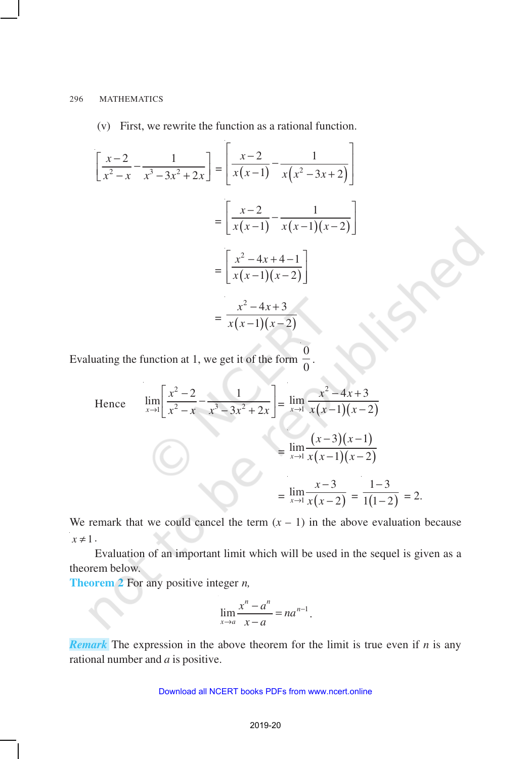(v) First, we rewrite the function as a rational function. í.

$$
\left[\frac{x-2}{x^2-x} - \frac{1}{x^3-3x^2+2x}\right] = \left[\frac{x-2}{x(x-1)} - \frac{1}{x(x^2-3x+2)}\right]
$$

$$
= \left[\frac{x-2}{x(x-1)} - \frac{1}{x(x-1)(x-2)}\right]
$$

$$
= \left[\frac{x^2-4x+4-1}{x(x-1)(x-2)}\right]
$$

$$
= \frac{x^2-4x+3}{x(x-1)(x-2)}
$$

Evaluating the function at 1, we get it of the form  $\overline{0}$ 0 .

Hence 
$$
\lim_{x \to 1} \left[ \frac{x^2 - 2}{x^2 - x} - \frac{1}{x^3 - 3x^2 + 2x} \right] = \lim_{x \to 1} \frac{x^2 - 4x + 3}{x(x - 1)(x - 2)}
$$

$$
= \lim_{x \to 1} \frac{(x - 3)(x - 1)}{x(x - 1)(x - 2)}
$$

$$
= \lim_{x \to 1} \frac{x - 3}{x(x - 2)} = \frac{1 - 3}{1(1 - 2)} = 2.
$$

We remark that we could cancel the term  $(x - 1)$  in the above evaluation because  $x \neq 1$ .

Evaluation of an important limit which will be used in the sequel is given as a theorem below.

**Theorem 2** For any positive integer *n,*

$$
\lim_{x \to a} \frac{x^n - a^n}{x - a} = na^{n-1}.
$$

*Remark* The expression in the above theorem for the limit is true even if *n* is any rational number and *a* is positive.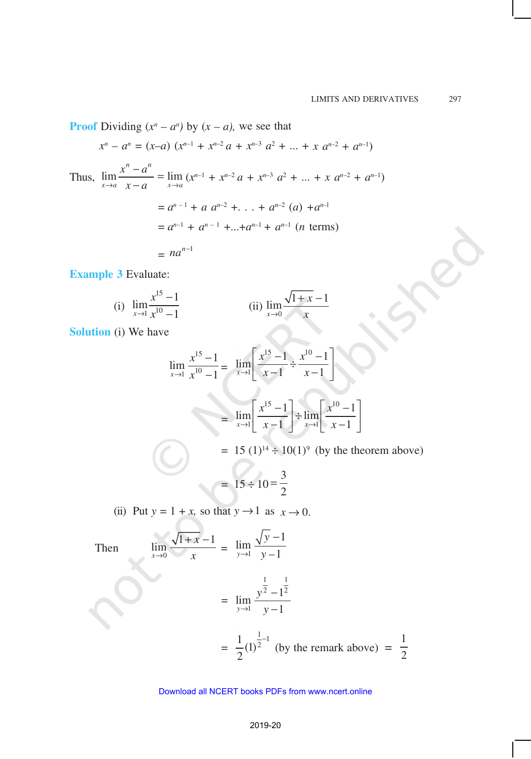**Proof** Dividing  $(x^n - a^n)$  by  $(x - a)$ , we see that

$$
x^{n} - a^{n} = (x-a) (x^{n-1} + x^{n-2} a + x^{n-3} a^{2} + ... + x a^{n-2} + a^{n-1})
$$

Thus, 
$$
\lim_{x \to a} \frac{x^n - a^n}{x - a} = \lim_{x \to a} (x^{n-1} + x^{n-2} a + x^{n-3} a^2 + \dots + x^{n-2} + a^{n-1})
$$
  
\n $= a^{n-1} + a \ a^{n-2} + \dots + a^{n-2} (a) + a^{n-1}$   
\n $= a^{n-1} + a^{n-1} + \dots + a^{n-1} + a^{n-1} (n \text{ terms})$   
\n $= na^{n-1}$ 

**Example 3** Evaluate:

(i) 
$$
\lim_{x \to 1} \frac{x^{15} - 1}{x^{10} - 1}
$$
 (ii) 
$$
\lim_{x \to 0} \frac{\sqrt{1 + x} - 1}{x}
$$

**Solution** (i) We have

$$
\lim_{x \to 1} \frac{x^{15} - 1}{x^{10} - 1} = \lim_{x \to 1} \left[ \frac{x^{15} - 1}{x - 1} \div \frac{x^{10} - 1}{x - 1} \right]
$$

$$
= \lim_{x \to 1} \left[ \frac{x^{15} - 1}{x - 1} \right] \div \lim_{x \to 1} \left[ \frac{x^{10} - 1}{x - 1} \right]
$$

=  $15 (1)^{14} \div 10(1)^{9}$  (by the theorem above)

$$
= 15 \div 10 = \frac{3}{2}
$$

(ii) Put  $y = 1 + x$ , so that  $y \rightarrow 1$  as  $x \rightarrow 0$ .

Then

$$
\lim_{x \to 0} \frac{\sqrt{1+x} - 1}{x} = \lim_{y \to 1} \frac{\sqrt{y} - 1}{y - 1}
$$
  
= 
$$
\lim_{y \to 1} \frac{y^{\frac{1}{2}} - 1^{\frac{1}{2}}}{y - 1}
$$
  
= 
$$
\frac{1}{2} (1)^{\frac{1}{2} - 1}
$$
 (by the remark above) =  $\frac{1}{2}$ 

#### 2019-20 Download all NCERT books PDFs from [www.ncert.online](http://www.ncert.online)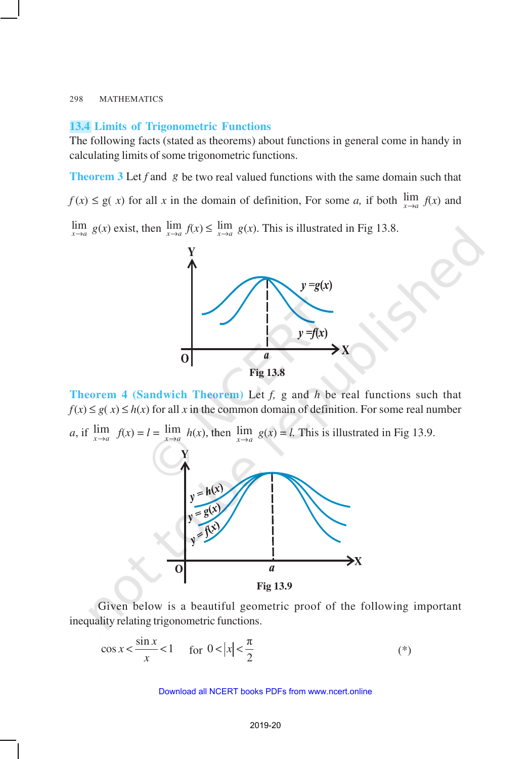## **13.4 Limits of Trigonometric Functions**

The following facts (stated as theorems) about functions in general come in handy in calculating limits of some trigonometric functions.

**Theorem 3** Let *f* and *g* be two real valued functions with the same domain such that  $f(x) \leq g(x)$  for all *x* in the domain of definition, For some *a*, if both  $\lim_{x \to a} f(x)$  and

 $\lim_{x \to a} g(x)$  exist, then  $\lim_{x \to a} f(x) \le \lim_{x \to a} g(x)$ . This is illustrated in Fig 13.8.



**Theorem 4 (Sandwich Theorem)** Let *f,* g and *h* be real functions such that  $f(x) \le g(x) \le h(x)$  for all *x* in the common domain of definition. For some real number

*a*, if  $\lim_{x \to a} f(x) = l = \lim_{x \to a} h(x)$ , then  $\lim_{x \to a} g(x) = l$ . This is illustrated in Fig 13.9.



**Fig 13.9**

Given below is a beautiful geometric proof of the following important inequality relating trigonometric functions.

$$
\cos x < \frac{\sin x}{x} < 1 \quad \text{for } 0 < |x| < \frac{\pi}{2} \tag{*}
$$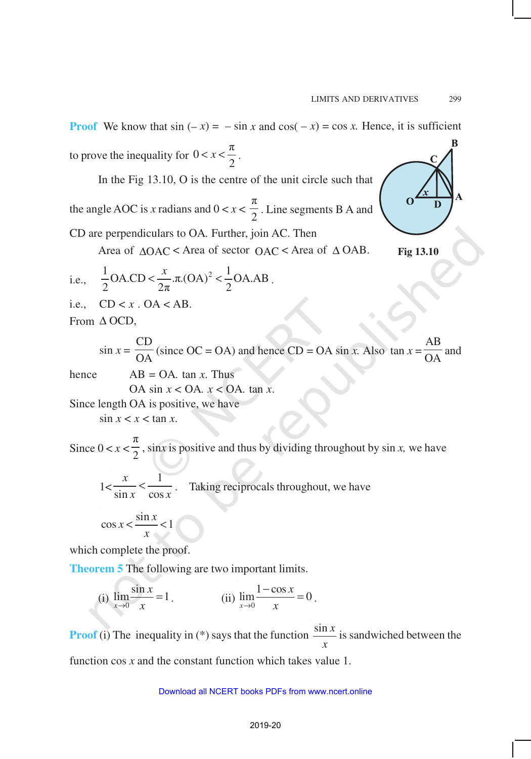# **Proof** We know that  $\sin(-x) = -\sin x$  and  $\cos(-x) = \cos x$ . Hence, it is sufficient to prove the inequality for  $0 < x < \frac{\pi}{2}$  $\lt x \lt \frac{\pi}{2}$ .

In the Fig 13.10, O is the centre of the unit circle such that

the angle AOC is x radians and  $0 < x <$ π  $\frac{1}{2}$ . Line segments B A and

CD are perpendiculars to OA*.* Further, join AC. Then

Area of ∆OAC < Area of sector OAC < Area of ∆ OAB.

i.e., 
$$
\frac{1}{2}OA.CD < \frac{x}{2\pi} \cdot \pi.(OA)^2 < \frac{1}{2}OA.AB
$$
.

i.e.,  $CD < x$ .  $OA < AB$ .

From ∆ OCD,

$$
\sin x = \frac{\text{CD}}{\text{OA}} \text{ (since } \text{OC} = \text{OA} \text{) and hence } \text{CD} = \text{OA} \sin x. \text{ Also } \tan x = \frac{\text{AB}}{\text{OA}} \text{ and}
$$

hence  $AB = OA$ , tan *x*. Thus

OA sin *x* < OA*. x* < OA*.* tan *x*.

Since length OA is positive, we have  $\sin x < x < \tan x$ .

Since  $0 < x <$ π  $\frac{1}{2}$ , sin*x* is positive and thus by dividing throughout by sin *x*, we have

 $1<$ 1  $\sin x$  cos *x*  $\frac{1}{x}$   $\lt \frac{1}{\cos x}$ . Taking reciprocals throughout, we have

$$
\cos x < \frac{\sin x}{x} < 1
$$

which complete the proof.

**Theorem 5** The following are two important limits.

(i) 
$$
\lim_{x \to 0} \frac{\sin x}{x} = 1
$$
. (ii)  $\lim_{x \to 0} \frac{1 - \cos x}{x} = 0$ .

**Proof** (i) The inequality in  $(*)$  says that the function  $\frac{\sin x}{x}$ *x* is sandwiched between the

function cos *x* and the constant function which takes value 1.

#### Download all NCERT books PDFs from [www.ncert.online](http://www.ncert.online)



**Fig 13.10**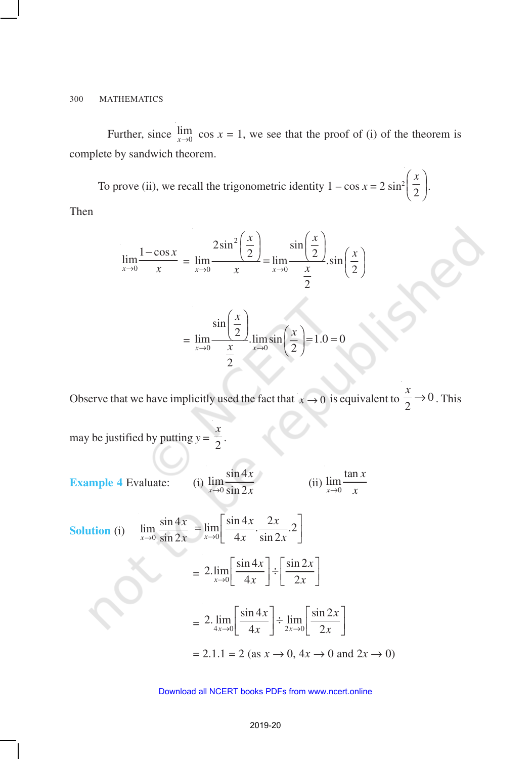Further, since  $\lim_{x\to 0}$  cos  $x = 1$ , we see that the proof of (i) of the theorem is complete by sandwich theorem.

To prove (ii), we recall the trigonometric identity  $1 - \cos x = 2 \sin^2 \left( \frac{\pi}{2} \right)$  $(x)$  $\left(\frac{\overline{2}}{2}\right)$ . Then

$$
\lim_{x \to 0} \frac{1 - \cos x}{x} = \lim_{x \to 0} \frac{2\sin^2\left(\frac{x}{2}\right)}{x} = \lim_{x \to 0} \frac{\sin\left(\frac{x}{2}\right)}{\frac{x}{2}} \cdot \sin\left(\frac{x}{2}\right)
$$

$$
= \lim_{x \to 0} \frac{\sin\left(\frac{x}{2}\right)}{\frac{x}{2}} \cdot \lim_{x \to 0} \sin\left(\frac{x}{2}\right) = 1.0 = 0
$$

Observe that we have implicitly used the fact that  $x \to 0$  is equivalent to  $\frac{\pi}{2} \to 0$  $\frac{x}{2} \rightarrow 0$ . This

may be justified by putting  $y = \frac{1}{2}$ *x* .

**Example 4** Evaluate:  $\lim_{x\to 0} \frac{\sin 4}{\sin 2}$  $x \rightarrow 0$  sin 2 *x*  $\rightarrow 0$  sin 2x (ii)  $\mathbf{0}$  $\lim \frac{\tan \theta}{\tan \theta}$ *x x*  $\rightarrow 0$   $\chi$ 

Solution (i) 
$$
\lim_{x \to 0} \frac{\sin 4x}{\sin 2x} = \lim_{x \to 0} \left[ \frac{\sin 4x}{4x} \cdot \frac{2x}{\sin 2x} \cdot 2 \right]
$$

$$
= 2 \cdot \lim_{x \to 0} \left[ \frac{\sin 4x}{4x} \right] \div \left[ \frac{\sin 2x}{2x} \right]
$$

$$
= 2 \cdot \lim_{4x \to 0} \left[ \frac{\sin 4x}{4x} \right] \div \lim_{2x \to 0} \left[ \frac{\sin 2x}{2x} \right]
$$

$$
= 2.1.1 = 2 \text{ (as } x \to 0, 4x \to 0 \text{ and } 2x \to 0)
$$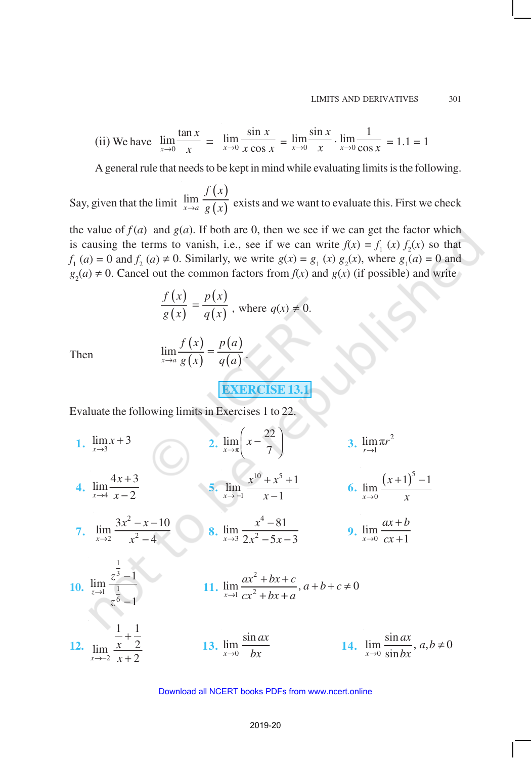(ii) We have 
$$
\lim_{x \to 0} \frac{\tan x}{x} = \lim_{x \to 0} \frac{\sin x}{x \cos x} = \lim_{x \to 0} \frac{\sin x}{x} \cdot \lim_{x \to 0} \frac{1}{\cos x} = 1.1 = 1
$$

A general rule that needs to be kept in mind while evaluating limits is the following.

Say, given that the limit  $(x)$  $\lim_{x\to a} \frac{f(x)}{g(x)}$ *f x*  $\lim_{x\to a} \frac{f(x)}{g(x)}$  exists and we want to evaluate this. First we check

the value of  $f(a)$  and  $g(a)$ . If both are 0, then we see if we can get the factor which is causing the terms to vanish, i.e., see if we can write  $f(x) = f_1(x) f_2(x)$  so that *f*<sub>1</sub> (*a*) = 0 and *f*<sub>2</sub> (*a*)  $\neq$  0. Similarly, we write *g*(*x*) = *g*<sub>1</sub> (*x*) *g*<sub>2</sub>(*x*), where *g*<sub>1</sub>(*a*) = 0 and  $g_2(a) \neq 0$ . Cancel out the common factors from *f*(*x*) and *g*(*x*) (if possible) and write

$$
\frac{f(x)}{g(x)} = \frac{p(x)}{q(x)},
$$
 where  $q(x) \neq 0$ .

Then

 $(x)$  $(x)$  $(a)$  $\lim_{x\to a}\frac{f'(x)}{g(x)}=\frac{f'(x)}{g(a)}$  $f(x)$  p (a  $\lim_{\longrightarrow a} \frac{f(x)}{g(x)} = \frac{f'(x)}{g(a)}$ .

**EXERCISE 13.1**

Evaluate the following limits in Exercises 1 to 22.

1. 
$$
\lim_{x \to 3} x + 3
$$
  
\n2.  $\lim_{x \to \pi} \left( x - \frac{22}{7} \right)$   
\n3.  $\lim_{r \to 1} \pi r^2$   
\n4.  $\lim_{x \to 4} \frac{4x + 3}{x - 2}$   
\n5.  $\lim_{x \to -1} \frac{x^{10} + x^5 + 1}{x - 1}$   
\n6.  $\lim_{x \to 0} \frac{(x + 1)^5 - 1}{x}$   
\n7.  $\lim_{x \to 2} \frac{3x^2 - x - 10}{x^2 - 4}$   
\n8.  $\lim_{x \to 3} \frac{x^4 - 81}{2x^2 - 5x - 3}$   
\n9.  $\lim_{x \to 0} \frac{ax + b}{cx + 1}$   
\n10.  $\lim_{z \to 1} \frac{z^{\frac{1}{3}} - 1}{1}$   
\n11.  $\lim_{x \to 1} \frac{ax^2 + bx + c}{cx^2 + bx + a}$ ,  $a + b + c \ne 0$   
\n12.  $\lim_{x \to 2} \frac{\frac{1}{x} + \frac{1}{2}}{x + 2}$   
\n13.  $\lim_{x \to 0} \frac{\sin ax}{bx}$   
\n14.  $\lim_{x \to 0} \frac{\sin ax}{\sin bx}$ ,  $a, b \ne 0$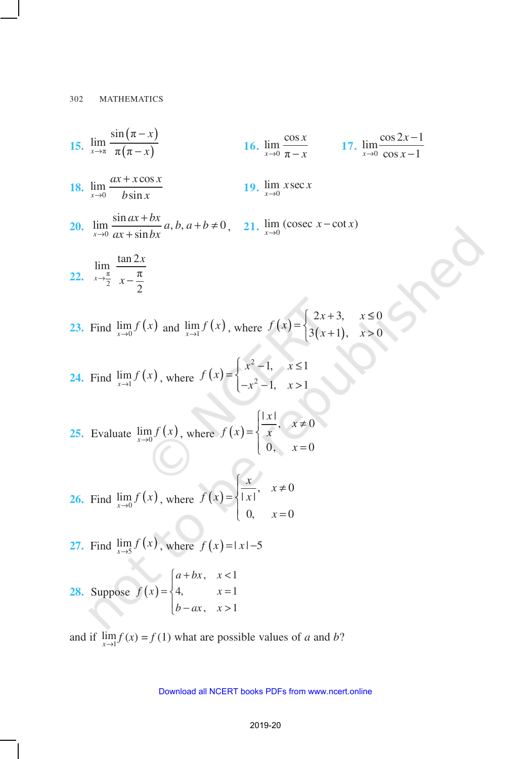15. 
$$
\lim_{x \to \pi} \frac{\sin(\pi - x)}{\pi(\pi - x)}
$$
  
\n16.  $\lim_{x \to 0} \frac{\cos x}{\pi - x}$   
\n17.  $\lim_{x \to 0} \frac{\cos 2x - 1}{\cos x - 1}$   
\n18.  $\lim_{x \to 0} \frac{ax + x \cos x}{bx \sin x}$   
\n19.  $\lim_{x \to 0} \text{ since } x$   
\n20.  $\lim_{x \to 0} \frac{\sin ax + bx}{ax + \sin bx} a, b, a + b \ne 0$ , 21.  $\lim_{x \to 0} (\csc x - \cot x)$   
\n22.  $\lim_{x \to \frac{\pi}{2}} \frac{\tan 2x}{x - \frac{\pi}{2}}$   
\n23. Find  $\lim_{x \to 0} f(x)$  and  $\lim_{x \to 1} f(x)$ , where  $f(x) = \begin{cases} 2x + 3, & x \le 0 \\ 3(x + 1), & x > 0 \end{cases}$   
\n24. Find  $\lim_{x \to 1} f(x)$ , where  $f(x) = \begin{cases} x^2 - 1, & x \le 1 \\ -x^2 - 1, & x > 1 \end{cases}$   
\n25. Evaluate  $\lim_{x \to 0} f(x)$ , where  $f(x) = \begin{cases} \frac{|x|}{x}, & x \ne 0 \\ 0, & x = 0 \end{cases}$   
\n26. Find  $\lim_{x \to 0} f(x)$ , where  $f(x) = \begin{cases} \frac{x}{|x|}, & x \ne 0 \\ 0, & x = 0 \end{cases}$   
\n27. Find  $\lim_{x \to 0} f(x)$ , where  $f(x) = |x| - 5$   
\n28. Suppose  $f(x) = \begin{cases} a + bx, & x < 1 \\ 4, & x = 1 \\ b - ax, & x > 1 \end{cases}$ 

and if  $\lim_{x\to 1} f(x) = f(1)$  what are possible values of *a* and *b*?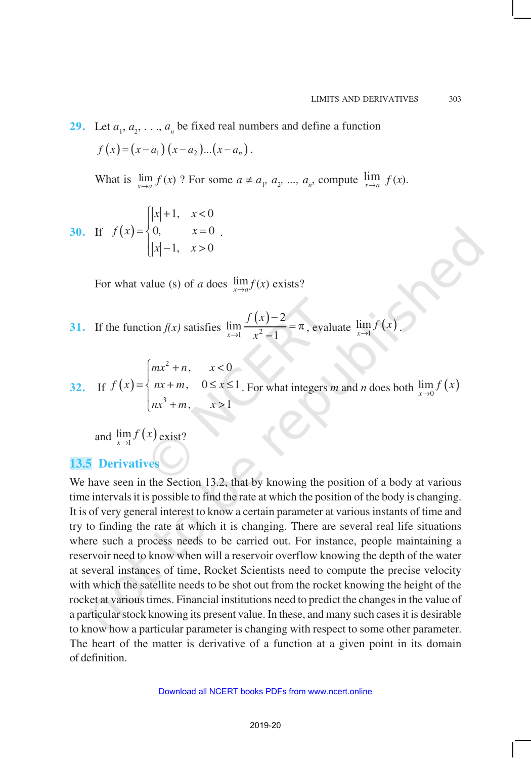**29.** Let  $a_1, a_2, \ldots, a_n$  be fixed real numbers and define a function  $f(x)=(x-a_1)(x-a_2)...(x-a_n)$ . What is  $\lim_{x \to a_1} f(x)$ ? For some  $a \neq a_1, a_2, ..., a_n$ , compute  $\lim_{x \to a} f(x)$ .

30. If 
$$
f(x) = \begin{cases} |x| + 1, & x < 0 \\ 0, & x = 0 \\ |x| - 1, & x > 0 \end{cases}
$$

For what value (s) of *a* does  $\lim_{x\to a} f(x)$  exists?

.

**31.** If the function  $f(x)$  satisfies  $(x)$  $\frac{1}{1}$   $x^2$ 2  $\lim_{x \to 0} \frac{f(x)}{x} = \pi$  $x \rightarrow 1$   $x^2 - 1$ *f x*  $\rightarrow$ 1  $\chi$ − =  $\frac{f}{f(x)} = \pi$ , evaluate  $\lim_{x \to 1} f(x)$ .

**32.** If  $f(x)$ 2 3  $, \quad x < 0$  $, 0 \leq x \leq 1$  $, \quad x>1$  $mx^2 + n$ , x  $f(x) = \{ nx + m, 0 \leq x$  $nx^3 + m$ , x  $\left\vert mx^{2}+n, \quad x<\right\vert$  $=\begin{cases} nx+m, & 0 \leq x \leq$  $\left\lfloor nx^3+m, \quad x \right\rfloor$ . For what integers *m* and *n* does both  $\lim_{x\to 0} f(x)$ 

and  $\lim_{x\to 1} f(x)$  exist?

# **13.5 Derivatives**

We have seen in the Section 13.2, that by knowing the position of a body at various time intervals it is possible to find the rate at which the position of the body is changing. It is of very general interest to know a certain parameter at various instants of time and try to finding the rate at which it is changing. There are several real life situations where such a process needs to be carried out. For instance, people maintaining a reservoir need to know when will a reservoir overflow knowing the depth of the water at several instances of time, Rocket Scientists need to compute the precise velocity with which the satellite needs to be shot out from the rocket knowing the height of the rocket at various times. Financial institutions need to predict the changes in the value of a particular stock knowing its present value. In these, and many such cases it is desirable to know how a particular parameter is changing with respect to some other parameter. The heart of the matter is derivative of a function at a given point in its domain of definition.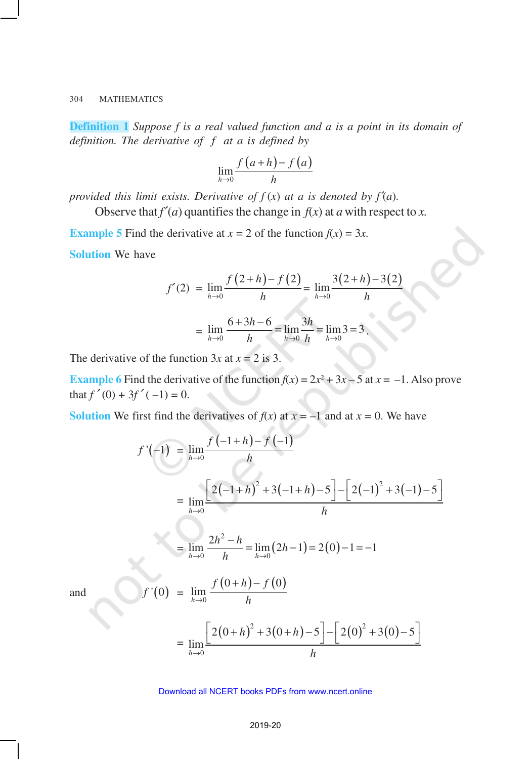**Definition 1** *Suppose f is a real valued function and a is a point in its domain of definition. The derivative of f at a is defined by*

$$
\lim_{h\to 0}\frac{f(a+h)-f(a)}{h}
$$

*provided this limit exists. Derivative of*  $f(x)$  *at a is denoted by*  $f'(a)$ *.* 

Observe that  $f'(a)$  quantifies the change in  $f(x)$  at  $a$  with respect to  $x$ .

**Example 5** Find the derivative at  $x = 2$  of the function  $f(x) = 3x$ . **Solution** We have

$$
f'(2) = \lim_{h \to 0} \frac{f(2+h) - f(2)}{h} = \lim_{h \to 0} \frac{3(2+h) - 3(2)}{h}
$$

$$
= \lim_{h \to 0} \frac{6 + 3h - 6}{h} = \lim_{h \to 0} \frac{3h}{h} = \lim_{h \to 0} 3 = 3.
$$

The derivative of the function  $3x$  at  $x = 2$  is 3.

**Example 6** Find the derivative of the function  $f(x) = 2x^2 + 3x - 5$  at  $x = -1$ . Also prove that  $f'(0) + 3f'(-1) = 0$ .

**Solution** We first find the derivatives of  $f(x)$  at  $x = -1$  and at  $x = 0$ . We have

$$
f'(-1) = \lim_{h \to 0} \frac{f(-1+h) - f(-1)}{h}
$$
  
= 
$$
\lim_{h \to 0} \frac{2(-1+h)^2 + 3(-1+h) - 5(-2(-1)^2 + 3(-1) - 5)}{h}
$$
  
= 
$$
\lim_{h \to 0} \frac{2h^2 - h}{h} = \lim_{h \to 0} (2h - 1) = 2(0) - 1 = -1
$$
  

$$
f'(0) = \lim_{h \to 0} \frac{f(0+h) - f(0)}{h}
$$
  
= 
$$
\lim_{h \to 0} \frac{2(0+h)^2 + 3(0+h) - 5(-2(0)^2 + 3(0) - 5)}{h}
$$

and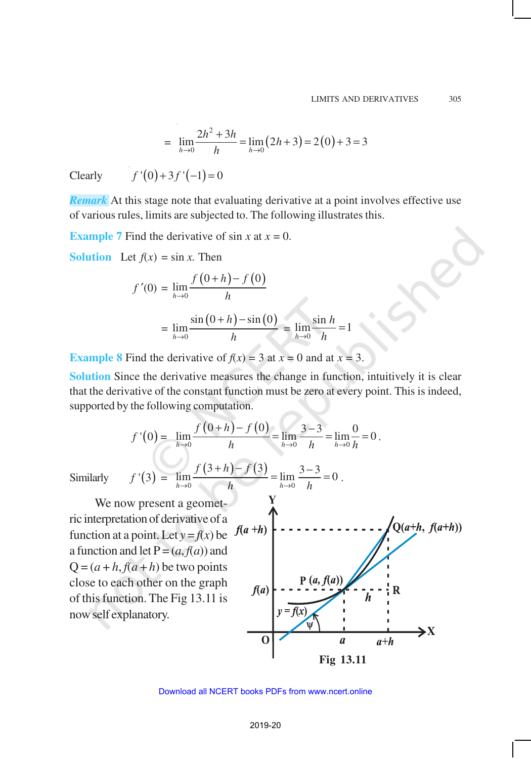$$
= \lim_{h \to 0} \frac{2h^2 + 3h}{h} = \lim_{h \to 0} (2h + 3) = 2(0) + 3 = 3
$$

Clearly  $f'(0) + 3 f'(-1) = 0$ 

*Remark* At this stage note that evaluating derivative at a point involves effective use of various rules, limits are subjected to. The following illustrates this.

**Example 7** Find the derivative of sin *x* at  $x = 0$ .

**Solution** Let  $f(x) = \sin x$ . Then

$$
f'(0) = \lim_{h \to 0} \frac{f(0+h) - f(0)}{h}
$$
  
= 
$$
\lim_{h \to 0} \frac{\sin(0+h) - \sin(0)}{h} = \lim_{h \to 0} \frac{\sin h}{h} = 1
$$

**Example 8** Find the derivative of  $f(x) = 3$  at  $x = 0$  and at  $x = 3$ .

**Solution** Since the derivative measures the change in function, intuitively it is clear that the derivative of the constant function must be zero at every point. This is indeed, supported by the following computation.

$$
f'(0) = \lim_{h \to 0} \frac{f(0+h) - f(0)}{h} = \lim_{h \to 0} \frac{3-3}{h} = \lim_{h \to 0} \frac{0}{h} = 0.
$$

 $(+ h)-f(3)$   $1.73-$ 

 $=\lim_{t \to \infty} \frac{3}{t} = 0$ .

 $(3+h) - f(3)$ 

*f*  $(3+h) - f$ 

Similarly  $f'(3) =$ 

We now present a geometric interpretation of derivative of a function at a point. Let  $y = f(x)$  be  $f(a+h)$ a function and let  $P = (a, f(a))$  and  $Q = (a + h, f(a + h))$  be two points close to each other on the graph of this function. The Fig 13.11 is now self explanatory.

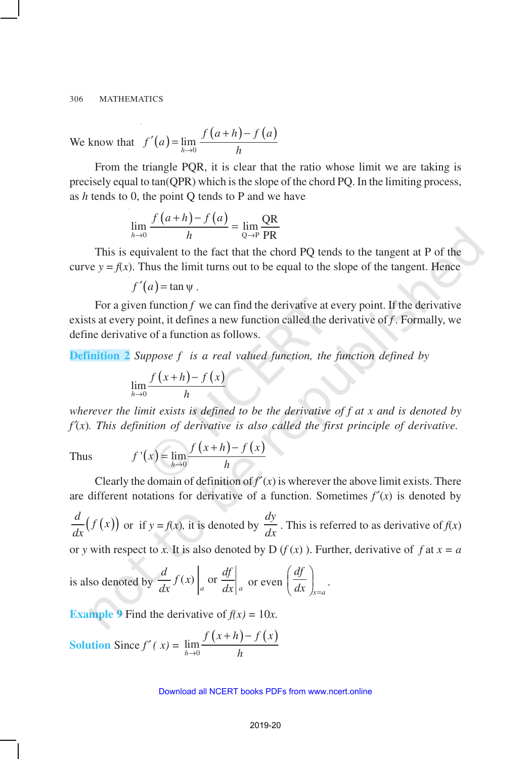We know that 
$$
f'(a) = \lim_{h \to 0} \frac{f(a+h) - f(a)}{h}
$$

From the triangle PQR, it is clear that the ratio whose limit we are taking is precisely equal to tan(QPR) which is the slope of the chord PQ. In the limiting process, as *h* tends to 0, the point Q tends to P and we have

$$
\lim_{h \to 0} \frac{f(a+h) - f(a)}{h} = \lim_{Q \to P} \frac{QR}{PR}
$$

This is equivalent to the fact that the chord PQ tends to the tangent at P of the curve  $y = f(x)$ . Thus the limit turns out to be equal to the slope of the tangent. Hence

$$
f'(a) = \tan \psi.
$$

For a given function  $f$  we can find the derivative at every point. If the derivative exists at every point, it defines a new function called the derivative of *f .* Formally, we define derivative of a function as follows.

**Definition 2** *Suppose f is a real valued function, the function defined by*

$$
\lim_{h\to 0}\frac{f(x+h)-f(x)}{h}
$$

*wherever the limit exists is defined to be the derivative of f at x and is denoted by f*′(*x*)*. This definition of derivative is also called the first principle of derivative.*

 $f'$ 

Thus 
$$
f'(x) = \lim_{h \to 0} \frac{f(x+h) - f(x)}{h}
$$

Clearly the domain of definition of  $f'(x)$  is wherever the above limit exists. There are different notations for derivative of a function. Sometimes  $f'(x)$  is denoted by

 $\frac{d}{dx} (f(x))$  or if  $y = f(x)$ , it is denoted by *dy*  $\frac{dy}{dx}$ . This is referred to as derivative of  $f(x)$ or *y* with respect to *x*. It is also denoted by D ( $f(x)$ ). Further, derivative of  $f$  at  $x = a$ 

is also denoted by 
$$
\frac{d}{dx} f(x) \Big|_a
$$
 or  $\frac{df}{dx} \Big|_a$  or even  $\left( \frac{df}{dx} \right)_{x=a}$ .

**Example 9** Find the derivative of  $f(x) = 10x$ .

Solution Since 
$$
f'(x) = \lim_{h \to 0} \frac{f(x+h) - f(x)}{h}
$$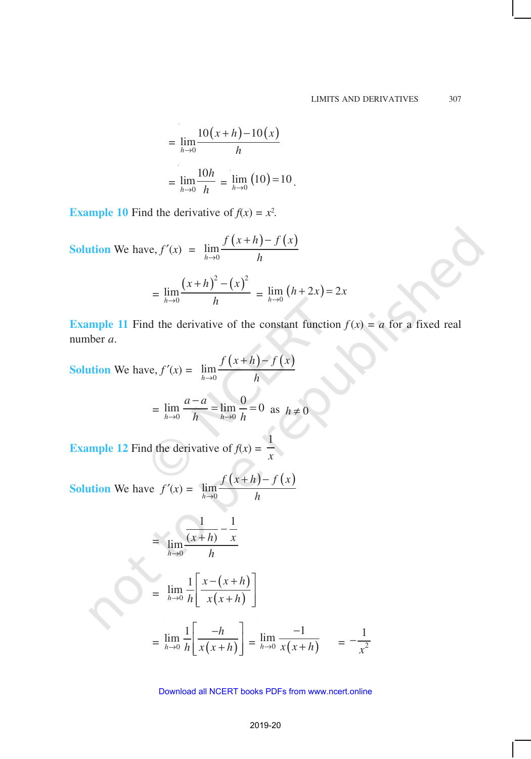$$
= \lim_{h \to 0} \frac{10(x+h) - 10(x)}{h}
$$

$$
= \lim_{h \to 0} \frac{10h}{h} = \lim_{h \to 0} (10) = 10.
$$

**Example 10** Find the derivative of  $f(x) = x^2$ .

Solution We have, 
$$
f'(x) = \lim_{h \to 0} \frac{f(x+h) - f(x)}{h}
$$
  
=  $\lim_{h \to 0} \frac{(x+h)^2 - (x)^2}{h} = \lim_{h \to 0} (h + 2x) = 2x$ 

**Example 11** Find the derivative of the constant function  $f(x) = a$  for a fixed real number *a*.

Solution We have, 
$$
f'(x) = \lim_{h \to 0} \frac{f(x+h) - f(x)}{h}
$$
  

$$
= \lim_{h \to 0} \frac{a - a}{h} = \lim_{h \to 0} \frac{0}{h} = 0 \text{ as } h \neq 0
$$
  
**Example 12** Find the derivative of  $f(x) = \frac{1}{x}$ 

**Solution** We have 
$$
f'(x) = \lim_{h \to 0} \frac{f(x+h) - f(x)}{h}
$$

$$
= \lim_{h\to 0} \frac{\frac{1}{(x+h)} - \frac{1}{x}}{h}
$$

$$
= \lim_{h\to 0} \frac{1}{h} \left[ \frac{x - (x+h)}{x(x+h)} \right]
$$

$$
= \lim_{h \to 0} \frac{1}{h} \left[ \frac{-h}{x(x+h)} \right] = \lim_{h \to 0} \frac{-1}{x(x+h)} = -\frac{1}{x^2}
$$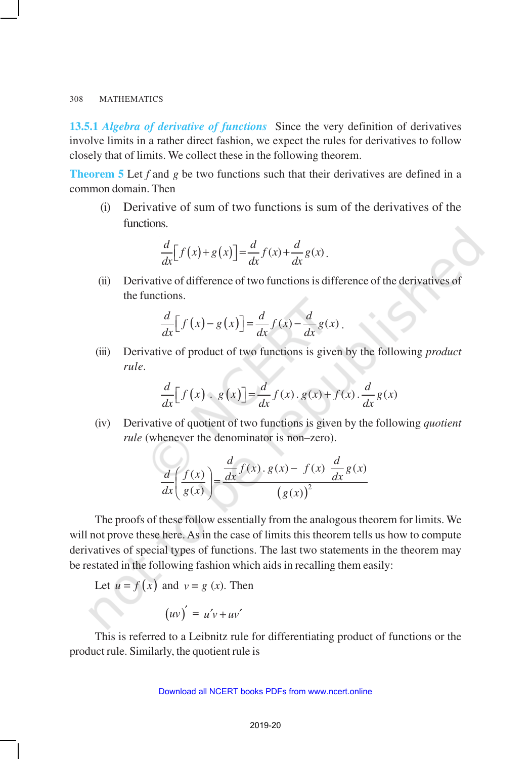**13.5.1** *Algebra of derivative of functions* Since the very definition of derivatives involve limits in a rather direct fashion, we expect the rules for derivatives to follow closely that of limits. We collect these in the following theorem.

**Theorem 5** Let *f* and *g* be two functions such that their derivatives are defined in a common domain. Then

(i) Derivative of sum of two functions is sum of the derivatives of the functions.

$$
\frac{d}{dx}\Big[f(x)+g(x)\Big]=\frac{d}{dx}f(x)+\frac{d}{dx}g(x).
$$

(ii) Derivative of difference of two functions is difference of the derivatives of the functions.

$$
\frac{d}{dx}\Big[f\big(x\big)-g\big(x\big)\Big]=\frac{d}{dx}f(x)-\frac{d}{dx}g(x).
$$

(iii) Derivative of product of two functions is given by the following *product rule.*

$$
\frac{d}{dx}[f(x) \cdot g(x)] = \frac{d}{dx}f(x) \cdot g(x) + f(x) \cdot \frac{d}{dx}g(x)
$$

(iv) Derivative of quotient of two functions is given by the following *quotient rule* (whenever the denominator is non–zero).

$$
\frac{d}{dx}\left(\frac{f(x)}{g(x)}\right) = \frac{\frac{d}{dx}f(x).g(x) - f(x)\frac{d}{dx}g(x)}{(g(x))^2}
$$

The proofs of these follow essentially from the analogous theorem for limits. We will not prove these here. As in the case of limits this theorem tells us how to compute derivatives of special types of functions. The last two statements in the theorem may be restated in the following fashion which aids in recalling them easily:

Let 
$$
u = f(x)
$$
 and  $v = g(x)$ . Then

$$
(uv)' = u'v + uv'
$$

This is referred to a Leibnitz rule for differentiating product of functions or the product rule. Similarly, the quotient rule is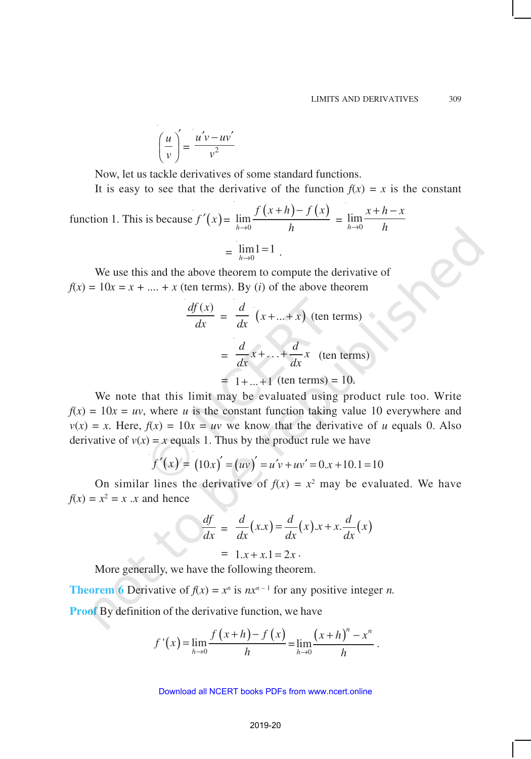$$
\left(\frac{u}{v}\right)' = \frac{u'v - uv'}{v^2}
$$

Now, let us tackle derivatives of some standard functions.

It is easy to see that the derivative of the function  $f(x) = x$  is the constant

function 1. This is because 
$$
f'(x) = \lim_{h \to 0} \frac{f(x+h) - f(x)}{h} = \lim_{h \to 0} \frac{x+h-x}{h}
$$
  
=  $\lim_{h \to 0} 1 = 1$ .

We use this and the above theorem to compute the derivative of  $f(x) = 10x = x + \dots + x$  (ten terms). By (*i*) of the above theorem

$$
\frac{df(x)}{dx} = \frac{d}{dx} (x + ... + x) \text{ (ten terms)}
$$

$$
= \frac{d}{dx} x + ... + \frac{d}{dx} x \text{ (ten terms)}
$$

$$
= 1 + ... + 1 \text{ (ten terms)} = 10.
$$

We note that this limit may be evaluated using product rule too. Write  $f(x) = 10x = uv$ , where *u* is the constant function taking value 10 everywhere and  $v(x) = x$ . Here,  $f(x) = 10x = uv$  we know that the derivative of *u* equals 0. Also derivative of  $v(x) = x$  equals 1. Thus by the product rule we have

$$
f'(x) = (10x)' = (uv)' = u'v + uv' = 0.x + 10.1 = 10
$$

On similar lines the derivative of  $f(x) = x^2$  may be evaluated. We have  $f(x) = x^2 = x$  *x* and hence

$$
\frac{df}{dx} = \frac{d}{dx}(x.x) = \frac{d}{dx}(x).x + x.\frac{d}{dx}(x)
$$

$$
= 1.x + x.1 = 2x.
$$

More generally, we have the following theorem.

**Theorem 6** Derivative of  $f(x) = x^n$  is  $nx^{n-1}$  for any positive integer *n*. **Proof** By definition of the derivative function, we have

$$
f'(x) = \lim_{h \to 0} \frac{f(x+h) - f(x)}{h} = \lim_{h \to 0} \frac{(x+h)^n - x^n}{h}
$$
.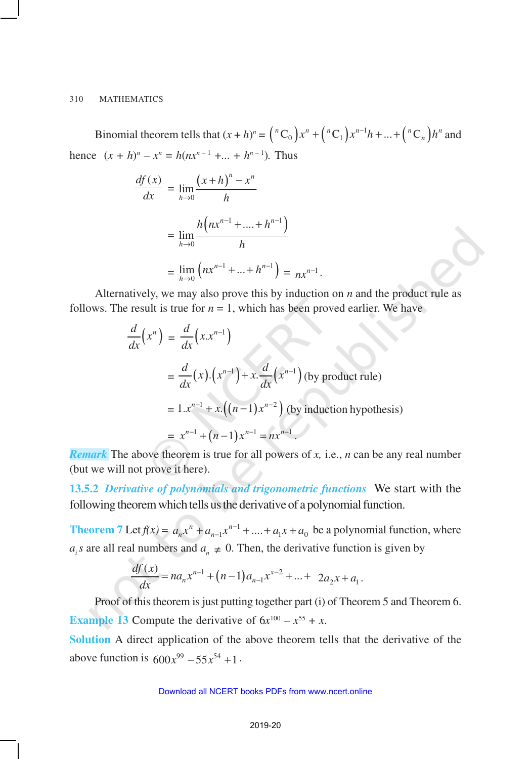Binomial theorem tells that  $(x + h)^n = {n \choose 0} x^n + {n \choose 1} x^{n-1} h + ... + {n \choose n} h^n$  and hence  $(x + h)^n - x^n = h(nx^{n-1} + ... + h^{n-1})$ . Thus

$$
\frac{df(x)}{dx} = \lim_{h \to 0} \frac{(x+h)^n - x^n}{h}
$$

$$
= \lim_{h \to 0} \frac{h\left(nx^{n-1} + \dots + h^{n-1}\right)}{h}
$$

$$
= \lim_{h \to 0} \left(nx^{n-1} + \dots + h^{n-1}\right) = nx^{n-1}.
$$

Alternatively, we may also prove this by induction on *n* and the product rule as follows. The result is true for  $n = 1$ , which has been proved earlier. We have

$$
\frac{d}{dx}\left(x^n\right) = \frac{d}{dx}\left(x.x^{n-1}\right)
$$
\n
$$
= \frac{d}{dx}\left(x\right)\cdot\left(x^{n-1}\right) + x\cdot\frac{d}{dx}\left(x^{n-1}\right) \text{ (by product rule)}
$$
\n
$$
= 1.x^{n-1} + x\cdot\left((n-1)x^{n-2}\right) \text{ (by induction hypothesis)}
$$
\n
$$
= x^{n-1} + (n-1)x^{n-1} = nx^{n-1}.
$$

*Remark* The above theorem is true for all powers of *x,* i.e., *n* can be any real number (but we will not prove it here).

**13.5.2** *Derivative of polynomials and trigonometric functions* We start with the following theorem which tells us the derivative of a polynomial function.

**Theorem** 7 Let  $f(x) = a_n x^n + a_{n-1} x^{n-1} + \dots + a_1 x + a_0$  be a polynomial function, where *a<sub>i</sub>s* are all real numbers and  $a_n \neq 0$ . Then, the derivative function is given by

$$
\frac{df(x)}{dx} = na_n x^{n-1} + (n-1)a_{n-1}x^{x-2} + \dots + 2a_2 x + a_1.
$$

Proof of this theorem is just putting together part (i) of Theorem 5 and Theorem 6. **Example 13** Compute the derivative of  $6x^{100} - x^{55} + x$ .

**Solution** A direct application of the above theorem tells that the derivative of the above function is  $600x^{99} - 55x^{54} + 1$ .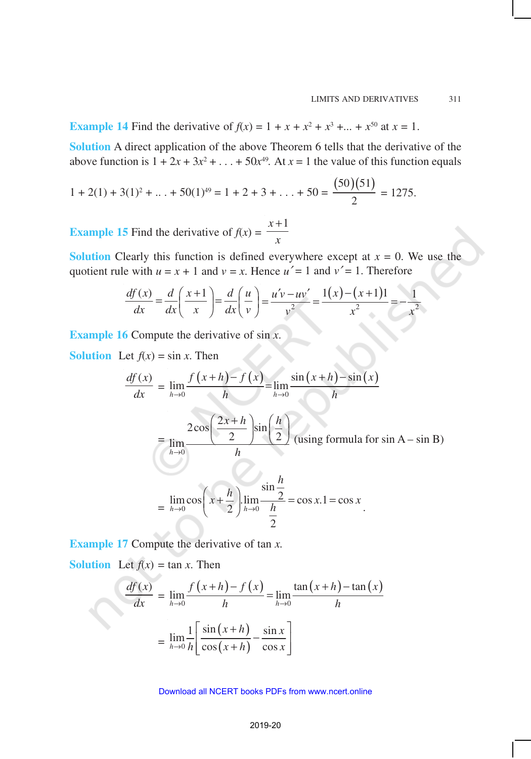**Example 14** Find the derivative of  $f(x) = 1 + x + x^2 + x^3 + ... + x^{50}$  at  $x = 1$ .

**Solution** A direct application of the above Theorem 6 tells that the derivative of the above function is  $1 + 2x + 3x^2 + ... + 50x^{49}$ . At  $x = 1$  the value of this function equals

$$
1 + 2(1) + 3(1)^2 + \ldots + 50(1)^{49} = 1 + 2 + 3 + \ldots + 50 = \frac{(50)(51)}{2} = 1275.
$$

**Example 15** Find the derivative of  $f(x) =$  $x + 1$ *x* +

**Solution** Clearly this function is defined everywhere except at  $x = 0$ . We use the quotient rule with  $u = x + 1$  and  $v = x$ . Hence  $u' = 1$  and  $v' = 1$ . Therefore

$$
\frac{df(x)}{dx} = \frac{d}{dx} \left( \frac{x+1}{x} \right) = \frac{d}{dx} \left( \frac{u}{v} \right) = \frac{u'v - uv'}{v^2} = \frac{1(x) - (x+1)1}{x^2} = -\frac{1}{x^2}
$$

**Example 16** Compute the derivative of sin *x*.

**Solution** Let  $f(x) = \sin x$ . Then

$$
\frac{df(x)}{dx} = \lim_{h \to 0} \frac{f(x+h) - f(x)}{h} = \lim_{h \to 0} \frac{\sin(x+h) - \sin(x)}{h}
$$

$$
= \lim_{h \to 0} \frac{2\cos\left(\frac{2x+h}{2}\right)\sin\left(\frac{h}{2}\right)}{h} \text{ (using formula for sin A - sin B)}
$$

$$
= \lim_{h \to 0} \cos\left(x + \frac{h}{2}\right) \lim_{h \to 0} \frac{\sin\frac{h}{2}}{\frac{h}{2}} = \cos x.1 = \cos x
$$

**Example 17** Compute the derivative of tan *x.*

**Solution** Let  $f(x) = \tan x$ . Then

$$
\frac{df(x)}{dx} = \lim_{h \to 0} \frac{f(x+h) - f(x)}{h} = \lim_{h \to 0} \frac{\tan(x+h) - \tan(x)}{h}
$$

$$
= \lim_{h \to 0} \frac{1}{h} \left[ \frac{\sin(x+h)}{\cos(x+h)} - \frac{\sin x}{\cos x} \right]
$$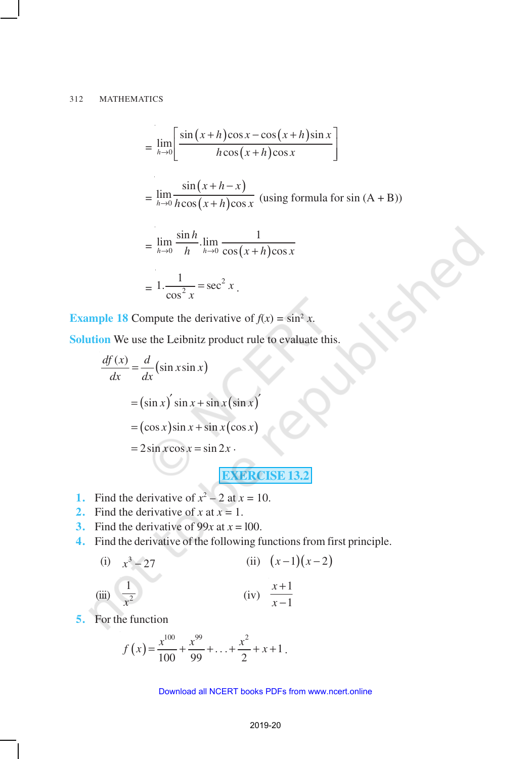$$
= \lim_{h\to 0} \left[ \frac{\sin (x+h)\cos x - \cos (x+h)\sin x}{h\cos (x+h)\cos x} \right]
$$
  

$$
= \lim_{h\to 0} \frac{\sin (x+h-x)}{h\cos (x+h)\cos x}
$$
 (using formula for sin (A + B))  

$$
= \lim_{h\to 0} \frac{\sin h}{h} \cdot \lim_{h\to 0} \frac{1}{\cos (x+h)\cos x}
$$

$$
= 1 \cdot \frac{1}{\cos^2 x} = \sec^2 x.
$$

**Example 18** Compute the derivative of  $f(x) = \sin^2 x$ .

**Solution** We use the Leibnitz product rule to evaluate this.

$$
\frac{df(x)}{dx} = \frac{d}{dx}(\sin x \sin x)
$$
  
=  $(\sin x)' \sin x + \sin x(\sin x)$   
=  $(\cos x)\sin x + \sin x(\cos x)$   
=  $2\sin x \cos x = \sin 2x$ .  
EXERCISE 13.2

- **1.** Find the derivative of  $x^2 2$  at  $x = 10$ .
- **2.** Find the derivative of *x* at  $x = 1$ .
- **3.** Find the derivative of 99*x* at  $x = 100$ .
- **4.** Find the derivative of the following functions from first principle.

(i) 
$$
x^3 - 27
$$
  
\n(ii)  $(x-1)(x-2)$   
\n(iii)  $\frac{1}{x^2}$   
\n(iv)  $\frac{x+1}{x-1}$ 

**5.** For the function

$$
f(x) = \frac{x^{100}}{100} + \frac{x^{99}}{99} + \ldots + \frac{x^2}{2} + x + 1.
$$

#### 2019-20 Download all NCERT books PDFs from [www.ncert.online](http://www.ncert.online)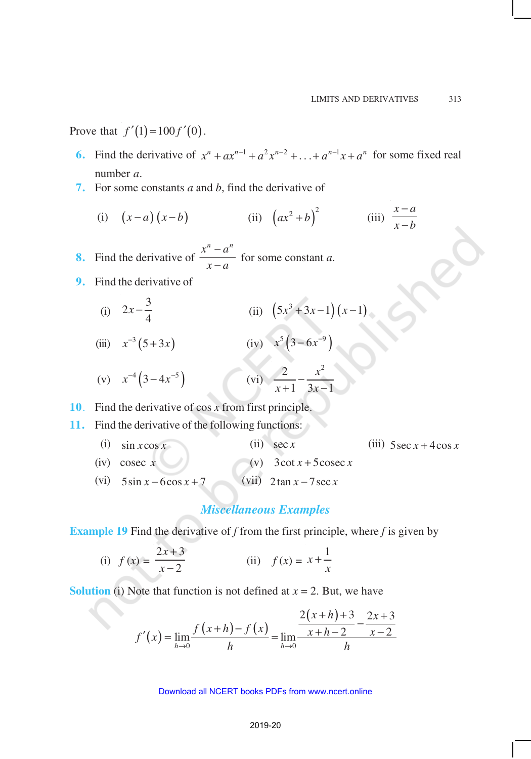Prove that  $f'(1) = 100 f'(0)$ .

- **6.** Find the derivative of  $x^n + ax^{n-1} + a^2x^{n-2} + \ldots + a^{n-1}x + a^n$  for some fixed real number *a*.
- **7.** For some constants *a* and *b*, find the derivative of

(i)  $(x-a)(x-b)$  (ii)  $(ax^2+b)^2$  (iii)  $x - a$  $x - b$ − −

**8.** Find the derivative of  $x^n - a^n$  $x - a$ −  $\frac{a}{-a}$  for some constant *a*.

- **9.** Find the derivative of
	- (i)  $2x - \frac{3}{4}$ 4  $x - \frac{3}{4}$  (ii)  $(5x^3 + 3x - 1)(x - 1)$

(iii) 
$$
x^{-3}(5+3x)
$$
 (iv)  $x^{5}(3-6x^{-9})$   
\n(v)  $x^{-4}(3-4x^{-5})$  (vi)  $\frac{2}{x+1} - \frac{x^{2}}{3x-1}$ 

**10**. Find the derivative of cos *x* from first principle.

**11.** Find the derivative of the following functions:

(i)  $\sin x \cos x$  (ii)  $\sec x$  (iii)  $5 \sec x + 4 \cos x$ (iv) cosec  $x$  (v)  $3 \cot x + 5 \csc x$ (vi)  $5\sin x - 6\cos x + 7$  (vii)  $2\tan x - 7\sec x$ 

# *Miscellaneous Examples*

**Example 19** Find the derivative of *f* from the first principle, where *f* is given by

(i) 
$$
f(x) = \frac{2x+3}{x-2}
$$
 (ii)  $f(x) = x + \frac{1}{x}$ 

**Solution** (i) Note that function is not defined at  $x = 2$ . But, we have

$$
f'(x) = \lim_{h \to 0} \frac{f(x+h) - f(x)}{h} = \lim_{h \to 0} \frac{\frac{2(x+h) + 3}{x+h-2} - \frac{2x+3}{x-2}}{h}
$$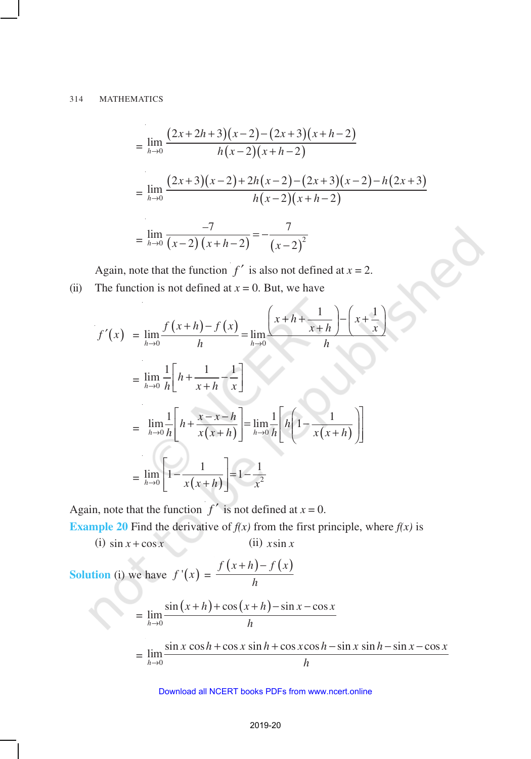$$
= \lim_{h \to 0} \frac{(2x+2h+3)(x-2) - (2x+3)(x+h-2)}{h(x-2)(x+h-2)}
$$
  
= 
$$
\lim_{h \to 0} \frac{(2x+3)(x-2) + 2h(x-2) - (2x+3)(x-2) - h(2x+3)}{h(x-2)(x+h-2)}
$$
  
= 
$$
\lim_{h \to 0} \frac{-7}{(x-2)(x+h-2)} = -\frac{7}{(x-2)^2}
$$

Again, note that the function  $f'$  is also not defined at  $x = 2$ . (ii) The function is not defined at  $x = 0$ . But, we have

$$
f'(x) = \lim_{h \to 0} \frac{f(x+h) - f(x)}{h} = \lim_{h \to 0} \frac{\left(x+h + \frac{1}{x+h}\right) - \left(x+\frac{1}{x}\right)}{h}
$$
  

$$
= \lim_{h \to 0} \frac{1}{h} \left[h + \frac{1}{x+h} - \frac{1}{x}\right]
$$
  

$$
= \lim_{h \to 0} \frac{1}{h} \left[h + \frac{x-x-h}{x(x+h)}\right] = \lim_{h \to 0} \frac{1}{h} \left[h \left(1 - \frac{1}{x(x+h)}\right)\right]
$$
  

$$
= \lim_{h \to 0} \left[1 - \frac{1}{x(x+h)}\right] = 1 - \frac{1}{x^2}
$$

Again, note that the function  $f'$  is not defined at  $x = 0$ .

**Example 20** Find the derivative of  $f(x)$  from the first principle, where  $f(x)$  is

(i)  $\sin x + \cos x$  (ii)  $x \sin x$ 

**Solution** (i) we have  $f'(x) =$  $f(x+h)-f(x)$ *h*  $+h$ ) –

$$
= \lim_{h\to 0} \frac{\sin(x+h) + \cos(x+h) - \sin x - \cos x}{h}
$$

$$
= \lim_{h \to 0} \frac{\sin x \cos h + \cos x \sin h + \cos x \cos h - \sin x \sin h - \sin x - \cos x}{h}
$$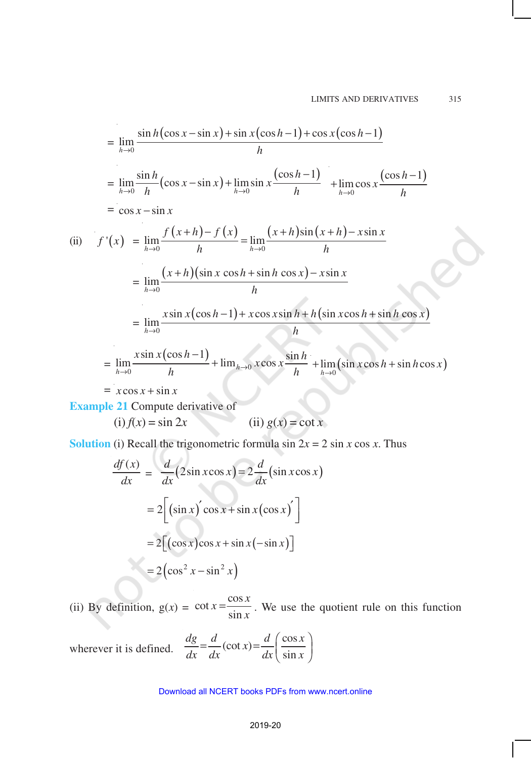$$
\lim_{h \to 0} \frac{\sin h(\cos x - \sin x) + \sin x(\cos h - 1) + \cos x(\cos h - 1)}{h}
$$
\n
$$
= \lim_{h \to 0} \frac{\sin h}{h} (\cos x - \sin x) + \lim_{h \to 0} \sin x \frac{(\cos h - 1)}{h} + \lim_{h \to 0} \cos x \frac{(\cos h - 1)}{h}
$$
\n
$$
= \cos x - \sin x
$$
\n(ii)  $f'(x) = \lim_{h \to 0} \frac{f(x+h) - f(x)}{h} = \lim_{h \to 0} \frac{(x+h)\sin(x+h) - x\sin x}{h}$ \n
$$
= \lim_{h \to 0} \frac{(x+h)(\sin x \cos h + \sin h \cos x) - x\sin x}{h}
$$
\n
$$
= \lim_{h \to 0} \frac{x\sin x(\cos h - 1) + x\cos x \sin h + h(\sin x \cos h + \sin h \cos x)}{h}
$$
\n
$$
= \lim_{h \to 0} \frac{x\sin x(\cos h - 1)}{h} + \lim_{h \to 0} x\cos x \frac{\sin h}{h} + \lim_{h \to 0} (\sin x \cos h + \sin h \cos x)
$$
\n
$$
= x\cos x + \sin x
$$
\nExample 21. Compute derivatives of

**Example 21** Compute derivative of

(i)  $f(x) = \sin 2x$  (ii)  $g(x) = \cot x$ 

**Solution** (i) Recall the trigonometric formula  $\sin 2x = 2 \sin x \cos x$ . Thus

$$
\frac{df(x)}{dx} = \frac{d}{dx}(2\sin x \cos x) = 2\frac{d}{dx}(\sin x \cos x)
$$

$$
= 2[(\sin x)' \cos x + \sin x(\cos x)']
$$

$$
= 2[(\cos x)\cos x + \sin x(-\sin x)]
$$

$$
= 2(\cos^2 x - \sin^2 x)
$$

(ii) By definition,  $g(x) =$  $\cot x = \frac{\cos x}{1}$ sin  $x = \frac{\cos x}{1}$  $=\frac{\cos x}{\sin x}$ . We use the quotient rule on this function

wherever it is defined.  $\frac{dg}{dx} = \frac{d}{dx}(\cot x) = \frac{d}{dx}\left(\frac{\cos x}{\sin x}\right)$ sin  $\frac{dg}{dx} = \frac{d}{dx}(\cot x) = \frac{d}{dx}\left(\frac{\cos x}{x}\right)$  $dx$   $dx$   $dx$   $\sin x$  $=\frac{d}{dx}(\cot x) = \frac{d}{dx}\left(\frac{\cos x}{\sin x}\right)$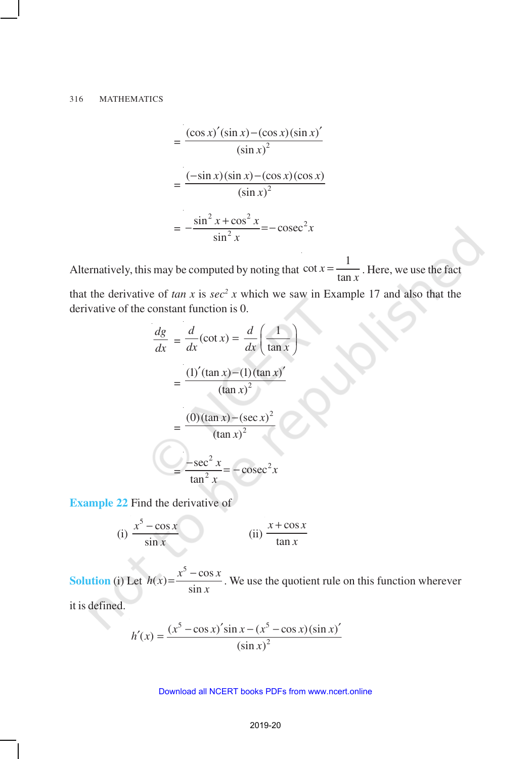$$
= \frac{(\cos x)'(\sin x) - (\cos x)(\sin x)'}{(\sin x)^2}
$$

$$
= \frac{(-\sin x)(\sin x) - (\cos x)(\cos x)}{(\sin x)^2}
$$

$$
= -\frac{\sin^2 x + \cos^2 x}{\sin^2 x} = -\csc^2 x
$$

Alternatively, this may be computed by noting that  $\cot x = \frac{1}{1}$ tan *x*  $=\frac{1}{\tan x}$ . Here, we use the fact

that the derivative of  $tan x$  is  $sec^2 x$  which we saw in Example 17 and also that the derivative of the constant function is 0.

$$
\frac{dg}{dx} = \frac{d}{dx}(\cot x) = \frac{d}{dx}\left(\frac{1}{\tan x}\right)
$$

$$
= \frac{(1)'(\tan x) - (1)(\tan x)'}{(\tan x)^2}
$$

$$
= \frac{(0)(\tan x) - (\sec x)^2}{(\tan x)^2}
$$

$$
= \frac{-\sec^2 x}{\tan^2 x} = -\csc^2 x
$$

**Example 22** Find the derivative of

(i) 
$$
\frac{x^5 - \cos x}{\sin x}
$$
 (ii) 
$$
\frac{x + \cos x}{\tan x}
$$

**Solution** (i) Let  $(x) = \frac{x^5 - \cos x}{1}$ sin  $h(x) = \frac{x^3 - \cos x}{x}$ *x*  $=\frac{x^5 - \cos x}{x}$ . We use the quotient rule on this function wherever

it is defined.

$$
h'(x) = \frac{(x^5 - \cos x)' \sin x - (x^5 - \cos x) (\sin x)'}{(\sin x)^2}
$$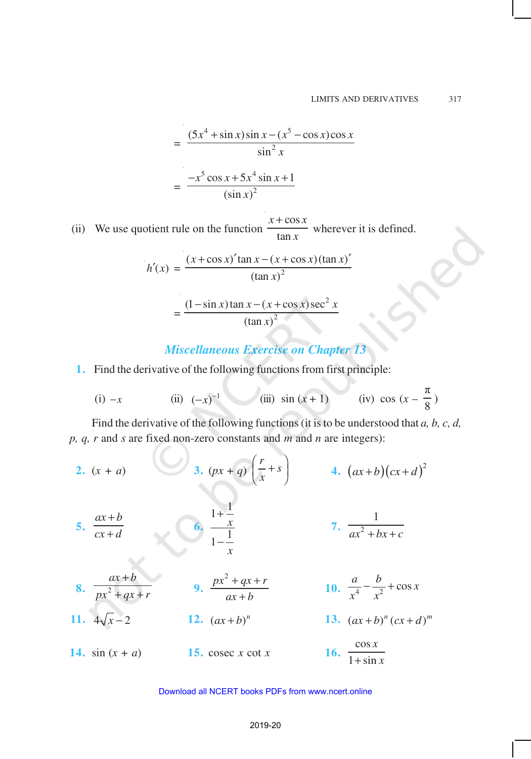$$
= \frac{(5x^4 + \sin x)\sin x - (x^5 - \cos x)\cos x}{\sin^2 x}
$$

$$
= \frac{-x^5 \cos x + 5x^4 \sin x + 1}{(\sin x)^2}
$$

 (ii) We use quotient rule on the function  $x + \cos x$ tan *x* wherever it is defined.

$$
h'(x) = \frac{(x + \cos x)' \tan x - (x + \cos x) (\tan x)'}{(\tan x)^2}
$$

$$
=\frac{(1-\sin x)\tan x - (x+\cos x)\sec^2 x}{(\tan x)^2}
$$

# *Miscellaneous Exercise on Chapter 13*

**1.** Find the derivative of the following functions from first principle:

(i) 
$$
-x
$$
 (ii)  $(-x)^{-1}$  (iii)  $\sin(x+1)$  (iv)  $\cos(x-\frac{\pi}{8})$ 

Find the derivative of the following functions (it is to be understood that *a, b, c, d, p, q, r* and *s* are fixed non-zero constants and *m* and *n* are integers):

2. 
$$
(x + a)
$$
  
\n3.  $(px + q) \left(\frac{r}{x} + s\right)$   
\n4.  $(ax+b)(cx+d)^2$   
\n5.  $\frac{ax+b}{cx+d}$   
\n6.  $\frac{1+\frac{1}{x}}{1-\frac{1}{x}}$   
\n7.  $\frac{1}{ax^2 + bx + c}$   
\n8.  $\frac{ax+b}{px^2 + qx + r}$   
\n9.  $\frac{px^2 + qx + r}{ax+b}$   
\n10.  $\frac{a}{x^4} - \frac{b}{x^2} + \cos x$   
\n11.  $4\sqrt{x} - 2$   
\n12.  $(ax+b)^n$   
\n13.  $(ax+b)^n(cx+d)^m$   
\n14.  $\sin(x + a)$   
\n15.  $\csc x \cot x$   
\n16.  $\frac{\cos x}{1 + \sin x}$ 

#### 2019-20 Download all NCERT books PDFs from [www.ncert.online](http://www.ncert.online)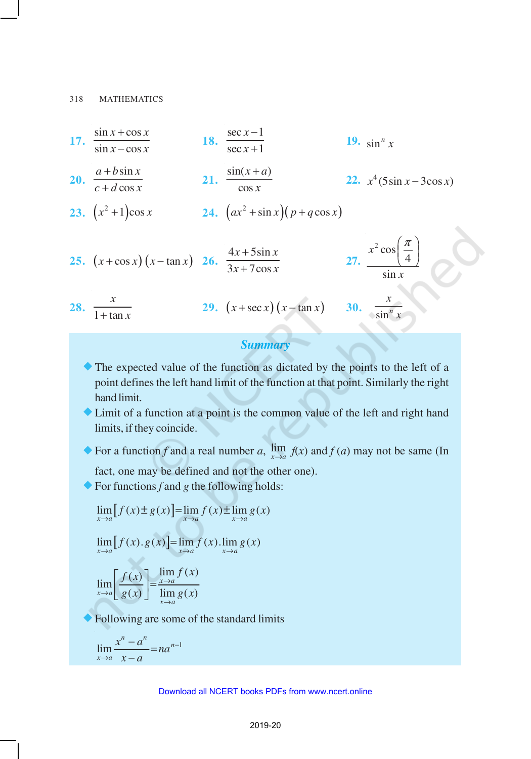17. 
$$
\frac{\sin x + \cos x}{\sin x - \cos x}
$$
  
\n18.  $\frac{\sec x - 1}{\sec x + 1}$   
\n19.  $\sin^n x$   
\n20.  $\frac{a + b \sin x}{c + d \cos x}$   
\n21.  $\frac{\sin(x + a)}{\cos x}$   
\n22.  $x^4 (5 \sin x - 3 \cos x)$   
\n23.  $(x^2 + 1) \cos x$   
\n24.  $(ax^2 + \sin x)(p + q \cos x)$   
\n25.  $(x + \cos x)(x - \tan x)$   
\n26.  $\frac{4x + 5 \sin x}{3x + 7 \cos x}$   
\n27.  $\frac{x^2 \cos(\frac{\pi}{4})}{\sin x}$   
\n28.  $\frac{x}{1 + \tan x}$   
\n29.  $(x + \sec x)(x - \tan x)$   
\n30.  $\frac{x}{\sin^n x}$ 

# *Summary*

- ®The expected value of the function as dictated by the points to the left of a point defines the left hand limit of the function at that point. Similarly the right hand limit.
- ®Limit of a function at a point is the common value of the left and right hand limits, if they coincide.

◆ For a function *f* and a real number *a*,  $\lim_{x\to a} f(x)$  and *f* (*a*) may not be same (In

fact, one may be defined and not the other one).

 $\blacklozenge$  For functions *f* and *g* the following holds:

$$
\lim_{x \to a} [f(x) \pm g(x)] = \lim_{x \to a} f(x) \pm \lim_{x \to a} g(x)
$$

$$
\lim_{x \to a} [f(x).g(x)] = \lim_{x \to a} f(x). \lim_{x \to a} g(x)
$$

$$
\lim_{x \to a} \left[ \frac{f(x)}{g(x)} \right] = \frac{\lim_{x \to a} f(x)}{\lim_{x \to a} g(x)}
$$

Following are some of the standard limits

$$
\lim_{x \to a} \frac{x^n - a^n}{x - a} = na^{n-1}
$$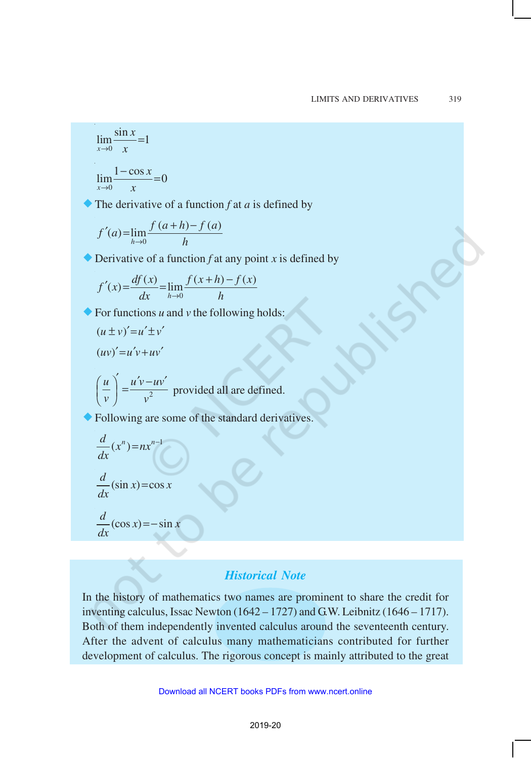$$
\lim_{x \to 0} \frac{\sin x}{x} = 1
$$
  

$$
\lim_{x \to 0} \frac{1 - \cos x}{x} = 0
$$

 $\bullet$  The derivative of a function *f* at *a* is defined by

$$
f'(a) = \lim_{h \to 0} \frac{f(a+h) - f(a)}{h}
$$

 $\bullet$  Derivative of a function *f* at any point *x* is defined by

$$
f'(x) = \frac{df(x)}{dx} = \lim_{h \to 0} \frac{f(x+h) - f(x)}{h}
$$

 $\blacklozenge$  For functions *u* and *v* the following holds:

$$
(u \pm v)' = u' \pm v'
$$
  
\n
$$
(uv)' = u'v + uv'
$$
  
\n
$$
\left(\frac{u}{v}\right)' = \frac{u'v - uv'}{v^2}
$$
 provided all are defined.

Following are some of the standard derivatives.

$$
\frac{d}{dx}(x^n) = nx^{n-1}
$$
\n
$$
\frac{d}{dx}(\sin x) = \cos x
$$
\n
$$
\frac{d}{dx}(\cos x) = -\sin x
$$

# *Historical Note*

In the history of mathematics two names are prominent to share the credit for inventing calculus, Issac Newton (1642 – 1727) and G.W. Leibnitz (1646 – 1717). Both of them independently invented calculus around the seventeenth century. After the advent of calculus many mathematicians contributed for further development of calculus. The rigorous concept is mainly attributed to the great